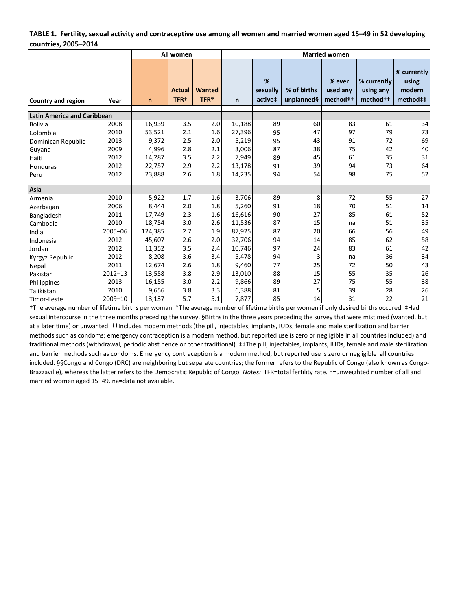#### **TABLE 1. Fertility, sexual activity and contraceptive use among all women and married women aged 15–49 in 52 developing countries, 2005–2014**

|                                    |             |              | All women                         |                | <b>Married women</b> |                          |                           |                                            |                                                  |                                            |  |  |  |  |
|------------------------------------|-------------|--------------|-----------------------------------|----------------|----------------------|--------------------------|---------------------------|--------------------------------------------|--------------------------------------------------|--------------------------------------------|--|--|--|--|
| <b>Country and region</b>          | Year        | $\mathsf{n}$ | <b>Actual</b><br>TFR <sup>+</sup> | Wanted<br>TFR* | $\mathbf n$          | %<br>sexually<br>active‡ | % of births<br>unplanned§ | % ever<br>used any<br>method <sup>++</sup> | % currently<br>using any<br>method <sup>++</sup> | % currently<br>using<br>modern<br>method## |  |  |  |  |
| <b>Latin America and Caribbean</b> |             |              |                                   |                |                      |                          |                           |                                            |                                                  |                                            |  |  |  |  |
| <b>Bolivia</b>                     | 2008        | 16,939       | 3.5                               | 2.0            | 10,188               | 89                       | 60                        | 83                                         | 61                                               | 34                                         |  |  |  |  |
| Colombia                           | 2010        | 53,521       | 2.1                               | 1.6            | 27,396               | 95                       | 47                        | 97                                         | 79                                               | 73                                         |  |  |  |  |
| Dominican Republic                 | 2013        | 9,372        | 2.5                               | 2.0            | 5,219                | 95                       | 43                        | 91                                         | 72                                               | 69                                         |  |  |  |  |
| Guyana                             | 2009        | 4,996        | 2.8                               | 2.1            | 3,006                | 87                       | 38                        | 75                                         | 42                                               | 40                                         |  |  |  |  |
| Haiti                              | 2012        | 14,287       | 3.5                               | 2.2            | 7,949                | 89                       | 45                        | 61                                         | 35                                               | 31                                         |  |  |  |  |
| Honduras                           | 2012        | 22,757       | 2.9                               | 2.2            | 13,178               | 91                       | 39                        | 94                                         | 73                                               | 64                                         |  |  |  |  |
| Peru                               | 2012        | 23,888       | 2.6                               | 1.8            | 14,235               | 94                       | 54                        | 98                                         | 75                                               | 52                                         |  |  |  |  |
| Asia                               |             |              |                                   |                |                      |                          |                           |                                            |                                                  |                                            |  |  |  |  |
| Armenia                            | 2010        | 5,922        | 1.7                               | 1.6            | 3,706                | 89                       | 8                         | 72                                         | 55                                               | 27                                         |  |  |  |  |
| Azerbaijan                         | 2006        | 8,444        | 2.0                               | 1.8            | 5,260                | 91                       | 18                        | 70                                         | 51                                               | 14                                         |  |  |  |  |
| Bangladesh                         | 2011        | 17,749       | 2.3                               | 1.6            | 16,616               | 90                       | 27                        | 85                                         | 61                                               | 52                                         |  |  |  |  |
| Cambodia                           | 2010        | 18,754       | 3.0                               | 2.6            | 11,536               | 87                       | 15                        | na                                         | 51                                               | 35                                         |  |  |  |  |
| India                              | 2005-06     | 124,385      | 2.7                               | 1.9            | 87,925               | 87                       | 20                        | 66                                         | 56                                               | 49                                         |  |  |  |  |
| Indonesia                          | 2012        | 45,607       | 2.6                               | 2.0            | 32,706               | 94                       | 14                        | 85                                         | 62                                               | 58                                         |  |  |  |  |
| Jordan                             | 2012        | 11,352       | 3.5                               | 2.4            | 10.746               | 97                       | 24                        | 83                                         | 61                                               | 42                                         |  |  |  |  |
| Kyrgyz Republic                    | 2012        | 8,208        | 3.6                               | 3.4            | 5,478                | 94                       | 3                         | na                                         | 36                                               | 34                                         |  |  |  |  |
| Nepal                              | 2011        | 12,674       | 2.6                               | 1.8            | 9,460                | 77                       | 25                        | 72                                         | 50                                               | 43                                         |  |  |  |  |
| Pakistan                           | $2012 - 13$ | 13,558       | 3.8                               | 2.9            | 13,010               | 88                       | 15                        | 55                                         | 35                                               | 26                                         |  |  |  |  |
| Philippines                        | 2013        | 16,155       | 3.0                               | 2.2            | 9,866                | 89                       | 27                        | 75                                         | 55                                               | 38                                         |  |  |  |  |
| Tajikistan                         | 2010        | 9,656        | 3.8                               | 3.3            | 6,388                | 81                       | 5                         | 39                                         | 28                                               | 26                                         |  |  |  |  |
| Timor-Leste                        | 2009-10     | 13,137       | 5.7                               | 5.1            | 7,877                | 85                       | 14                        | 31                                         | 22                                               | 21                                         |  |  |  |  |

†The average number of lifetime births per woman. \*The average number of lifetime births per women if only desired births occured. ‡Had sexual intercourse in the three months preceding the survey. §Births in the three years preceding the survey that were mistimed (wanted, but at a later time) or unwanted. ††Includes modern methods (the pill, injectables, implants, IUDs, female and male sterilization and barrier methods such as condoms; emergency contraception is a modern method, but reported use is zero or negligible in all countries included) and traditional methods (withdrawal, periodic abstinence or other traditional). ‡‡The pill, injectables, implants, IUDs, female and male sterilization and barrier methods such as condoms. Emergency contraception is a modern method, but reported use is zero or negligible all countries included. §§Congo and Congo (DRC) are neighboring but separate countries; the former refers to the Republic of Congo (also known as Congo-Brazzaville), whereas the latter refers to the Democratic Republic of Congo. *Notes:* TFR=total fertility rate. n=unweighted number of all and married women aged 15–49. na=data not available.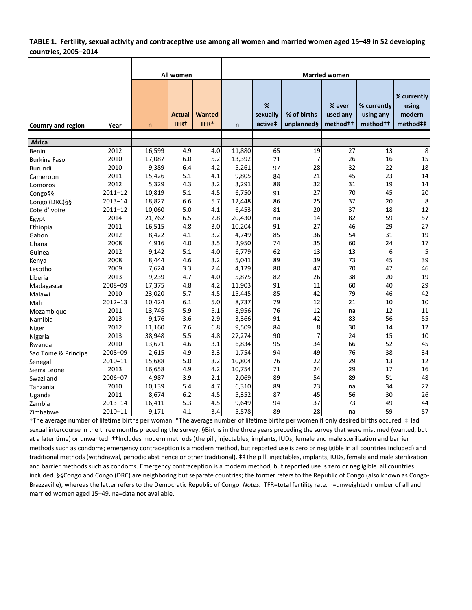### **TABLE 1. Fertility, sexual activity and contraceptive use among all women and married women aged 15–49 in 52 developing countries, 2005–2014**

|                     |             |        | All women                    |                       |        |                          |                           | <b>Married women</b>                       |                                                  |                                            |
|---------------------|-------------|--------|------------------------------|-----------------------|--------|--------------------------|---------------------------|--------------------------------------------|--------------------------------------------------|--------------------------------------------|
| Country and region  | Year        | n      | <b>Actual</b><br><b>TFR+</b> | <b>Wanted</b><br>TFR* | n      | %<br>sexually<br>active‡ | % of births<br>unplanned§ | % ever<br>used any<br>method <sup>++</sup> | % currently<br>using any<br>method <sup>++</sup> | % currently<br>using<br>modern<br>method## |
| <b>Africa</b>       |             |        |                              |                       |        |                          |                           |                                            |                                                  |                                            |
| Benin               | 2012        | 16,599 | 4.9                          | 4.0                   | 11,880 | 65                       | 19                        | 27                                         | 13                                               | $\overline{8}$                             |
| <b>Burkina Faso</b> | 2010        | 17,087 | 6.0                          | 5.2                   | 13,392 | 71                       | 7                         | 26                                         | 16                                               | 15                                         |
| Burundi             | 2010        | 9,389  | 6.4                          | 4.2                   | 5,261  | 97                       | 28                        | 32                                         | 22                                               | 18                                         |
| Cameroon            | 2011        | 15,426 | 5.1                          | 4.1                   | 9,805  | 84                       | 21                        | 45                                         | 23                                               | 14                                         |
| Comoros             | 2012        | 5,329  | 4.3                          | 3.2                   | 3,291  | 88                       | 32                        | 31                                         | 19                                               | 14                                         |
| Congo§§             | $2011 - 12$ | 10,819 | 5.1                          | 4.5                   | 6,750  | 91                       | 27                        | 70                                         | 45                                               | 20                                         |
| Congo (DRC)§§       | $2013 - 14$ | 18,827 | 6.6                          | 5.7                   | 12,448 | 86                       | 25                        | 37                                         | 20                                               | 8                                          |
| Cote d'Ivoire       | $2011 - 12$ | 10,060 | 5.0                          | 4.1                   | 6,453  | 81                       | 20                        | 37                                         | 18                                               | 12                                         |
| Egypt               | 2014        | 21,762 | 6.5                          | 2.8                   | 20,430 | na                       | 14                        | 82                                         | 59                                               | 57                                         |
| Ethiopia            | 2011        | 16,515 | 4.8                          | 3.0                   | 10,204 | 91                       | 27                        | 46                                         | 29                                               | 27                                         |
| Gabon               | 2012        | 8,422  | 4.1                          | 3.2                   | 4,749  | 85                       | 36                        | 54                                         | 31                                               | 19                                         |
| Ghana               | 2008        | 4,916  | 4.0                          | 3.5                   | 2,950  | 74                       | 35                        | 60                                         | 24                                               | 17                                         |
| Guinea              | 2012        | 9,142  | 5.1                          | 4.0                   | 6,779  | 62                       | 13                        | 13                                         | 6                                                | 5                                          |
| Kenya               | 2008        | 8,444  | 4.6                          | 3.2                   | 5,041  | 89                       | 39                        | 73                                         | 45                                               | 39                                         |
| Lesotho             | 2009        | 7,624  | 3.3                          | 2.4                   | 4,129  | 80                       | 47                        | 70                                         | 47                                               | 46                                         |
| Liberia             | 2013        | 9,239  | 4.7                          | 4.0                   | 5,875  | 82                       | 26                        | 38                                         | 20                                               | 19                                         |
| Madagascar          | 2008-09     | 17,375 | 4.8                          | 4.2                   | 11,903 | 91                       | 11                        | 60                                         | 40                                               | 29                                         |
| Malawi              | 2010        | 23,020 | 5.7                          | 4.5                   | 15,445 | 85                       | 42                        | 79                                         | 46                                               | 42                                         |
| Mali                | $2012 - 13$ | 10,424 | 6.1                          | 5.0                   | 8,737  | 79                       | 12                        | 21                                         | 10                                               | 10                                         |
| Mozambique          | 2011        | 13,745 | 5.9                          | 5.1                   | 8,956  | 76                       | 12                        | na                                         | 12                                               | 11                                         |
| Namibia             | 2013        | 9,176  | 3.6                          | 2.9                   | 3,366  | 91                       | 42                        | 83                                         | 56                                               | 55                                         |
| Niger               | 2012        | 11,160 | 7.6                          | 6.8                   | 9,509  | 84                       | 8                         | 30                                         | 14                                               | 12                                         |
| Nigeria             | 2013        | 38,948 | 5.5                          | 4.8                   | 27,274 | 90                       | $\overline{7}$            | 24                                         | 15                                               | 10                                         |
| Rwanda              | 2010        | 13,671 | 4.6                          | 3.1                   | 6,834  | 95                       | 34                        | 66                                         | 52                                               | 45                                         |
| Sao Tome & Principe | 2008-09     | 2,615  | 4.9                          | 3.3                   | 1,754  | 94                       | 49                        | 76                                         | 38                                               | 34                                         |
| Senegal             | 2010-11     | 15,688 | 5.0                          | 3.2                   | 10,804 | 76                       | 22                        | 29                                         | 13                                               | 12                                         |
| Sierra Leone        | 2013        | 16,658 | 4.9                          | 4.2                   | 10,754 | 71                       | 24                        | 29                                         | 17                                               | 16                                         |
| Swaziland           | 2006-07     | 4,987  | 3.9                          | 2.1                   | 2,069  | 89                       | 54                        | 89                                         | 51                                               | 48                                         |
| Tanzania            | 2010        | 10,139 | 5.4                          | 4.7                   | 6,310  | 89                       | 23                        | na                                         | 34                                               | 27                                         |
| Uganda              | 2011        | 8,674  | 6.2                          | 4.5                   | 5,352  | 87                       | 45                        | 56                                         | 30                                               | 26                                         |
| Zambia              | $2013 - 14$ | 16,411 | 5.3                          | 4.5                   | 9,649  | 94                       | 37                        | 73                                         | 49                                               | 44                                         |
| Zimbabwe            | 2010-11     | 9,171  | 4.1                          | 3.4                   | 5,578  | 89                       | 28                        | na                                         | 59                                               | 57                                         |

†The average number of lifetime births per woman. \*The average number of lifetime births per women if only desired births occured. ‡Had sexual intercourse in the three months preceding the survey. §Births in the three years preceding the survey that were mistimed (wanted, but at a later time) or unwanted. ††Includes modern methods (the pill, injectables, implants, IUDs, female and male sterilization and barrier methods such as condoms; emergency contraception is a modern method, but reported use is zero or negligible in all countries included) and traditional methods (withdrawal, periodic abstinence or other traditional). ‡‡The pill, injectables, implants, IUDs, female and male sterilization and barrier methods such as condoms. Emergency contraception is a modern method, but reported use is zero or negligible all countries included. §§Congo and Congo (DRC) are neighboring but separate countries; the former refers to the Republic of Congo (also known as Congo-Brazzaville), whereas the latter refers to the Democratic Republic of Congo. *Notes:* TFR=total fertility rate. n=unweighted number of all and married women aged 15–49. na=data not available.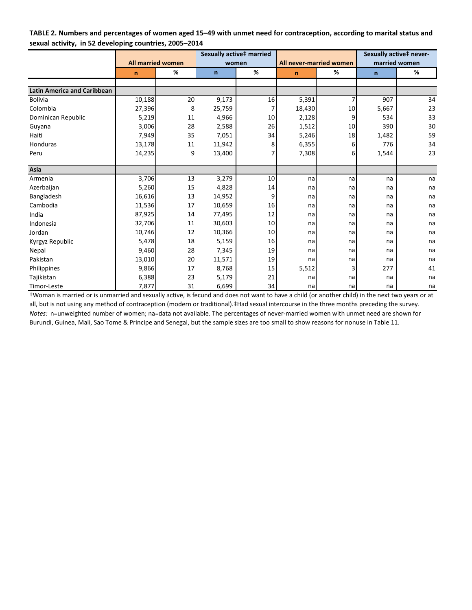| TABLE 2. Numbers and percentages of women aged 15–49 with unmet need for contraception, according to marital status and |
|-------------------------------------------------------------------------------------------------------------------------|
| sexual activity, in 52 developing countries, 2005-2014                                                                  |

|                                    |                          |    |              | Sexually active‡ married |                         |     | Sexually active‡ never- |               |  |
|------------------------------------|--------------------------|----|--------------|--------------------------|-------------------------|-----|-------------------------|---------------|--|
|                                    | <b>All married women</b> |    |              | women                    | All never-married women |     |                         | married women |  |
|                                    | $\mathsf{n}$             | %  | $\mathsf{n}$ | %                        | $\mathsf{n}$            | %   | $\mathsf{n}$            | %             |  |
|                                    |                          |    |              |                          |                         |     |                         |               |  |
| <b>Latin America and Caribbean</b> |                          |    |              |                          |                         |     |                         |               |  |
| <b>Bolivia</b>                     | 10,188                   | 20 | 9,173        | 16                       | 5,391                   |     | 907                     | 34            |  |
| Colombia                           | 27,396                   | 8  | 25,759       |                          | 18,430                  | 10  | 5,667                   | 23            |  |
| Dominican Republic                 | 5,219                    | 11 | 4,966        | 10                       | 2,128                   | 9   | 534                     | 33            |  |
| Guyana                             | 3,006                    | 28 | 2,588        | 26                       | 1,512                   | 10  | 390                     | 30            |  |
| Haiti                              | 7,949                    | 35 | 7,051        | 34                       | 5,246                   | 18  | 1,482                   | 59            |  |
| Honduras                           | 13,178                   | 11 | 11,942       | 8                        | 6,355                   | 6   | 776                     | 34            |  |
| Peru                               | 14,235                   | 9  | 13,400       |                          | 7,308                   | 6   | 1,544                   | 23            |  |
| Asia                               |                          |    |              |                          |                         |     |                         |               |  |
| Armenia                            | 3,706                    | 13 | 3,279        | 10                       | na                      | na  | na                      | na            |  |
| Azerbaijan                         | 5,260                    | 15 | 4,828        | 14                       | na                      | na  | na                      | na            |  |
| Bangladesh                         | 16,616                   | 13 | 14,952       | 9                        | na                      | na  | na                      | na            |  |
| Cambodia                           | 11,536                   | 17 | 10,659       | 16                       | na                      | na  | na                      | na            |  |
| India                              | 87,925                   | 14 | 77,495       | 12                       | na                      | na  | na                      | na            |  |
| Indonesia                          | 32,706                   | 11 | 30,603       | 10                       | na                      | nal | na                      | na            |  |
| Jordan                             | 10,746                   | 12 | 10,366       | 10                       | na                      | na  | na                      | na            |  |
| Kyrgyz Republic                    | 5,478                    | 18 | 5,159        | 16                       | na                      | na  | na                      | na            |  |
| Nepal                              | 9,460                    | 28 | 7,345        | 19                       | na                      | na  | na                      | na            |  |
| Pakistan                           | 13,010                   | 20 | 11,571       | 19                       | na                      | na  | na                      | na            |  |
| Philippines                        | 9,866                    | 17 | 8,768        | 15                       | 5,512                   |     | 277                     | 41            |  |
| Tajikistan                         | 6,388                    | 23 | 5,179        | 21                       | na                      | na  | na                      | na            |  |
| Timor-Leste                        | 7,877                    | 31 | 6,699        | 34                       | na                      | na  | na                      | na            |  |

†Woman is married or is unmarried and sexually active, is fecund and does not want to have a child (or another child) in the next two years or at all, but is not using any method of contraception (modern or traditional).‡Had sexual intercourse in the three months preceding the survey. *Notes:* n=unweighted number of women; na=data not available. The percentages of never-married women with unmet need are shown for Burundi, Guinea, Mali, Sao Tome & Principe and Senegal, but the sample sizes are too small to show reasons for nonuse in Table 11.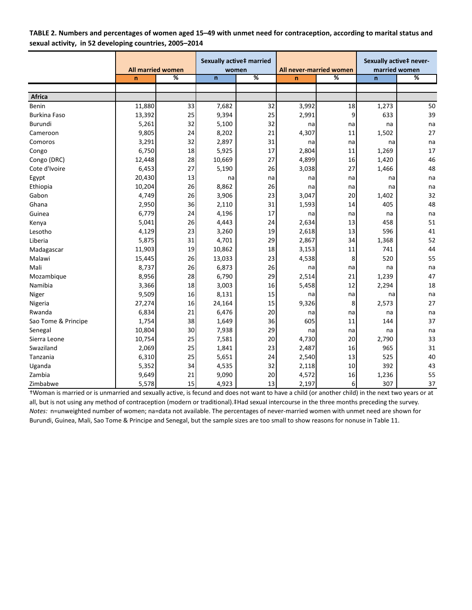| TABLE 2. Numbers and percentages of women aged 15–49 with unmet need for contraception, according to marital status and |  |
|-------------------------------------------------------------------------------------------------------------------------|--|
| sexual activity, in 52 developing countries, 2005-2014                                                                  |  |

|                     |              |                          |              | Sexually active‡ married |                         |          | Sexually active‡ never- |               |  |
|---------------------|--------------|--------------------------|--------------|--------------------------|-------------------------|----------|-------------------------|---------------|--|
|                     |              | <b>All married women</b> |              | women                    | All never-married women |          |                         | married women |  |
|                     | $\mathsf{n}$ | %                        | $\mathsf{n}$ | %                        | $\mathbf n$             | %        | $\mathbf n$             | %             |  |
|                     |              |                          |              |                          |                         |          |                         |               |  |
| <b>Africa</b>       |              |                          |              |                          |                         |          |                         |               |  |
| Benin               | 11,880       | 33                       | 7,682        | 32                       | 3,992                   | 18       | 1,273                   | 50            |  |
| <b>Burkina Faso</b> | 13,392       | 25                       | 9,394        | 25                       | 2,991                   | 9        | 633                     | 39            |  |
| Burundi             | 5,261        | 32                       | 5,100        | 32                       | na                      | na       | na                      | na            |  |
| Cameroon            | 9,805        | 24                       | 8,202        | 21                       | 4,307                   | 11       | 1,502                   | 27            |  |
| Comoros             | 3,291        | 32                       | 2,897        | 31                       | na                      | na       | na                      | na            |  |
| Congo               | 6,750        | 18                       | 5,925        | 17                       | 2,804                   | 11       | 1,269                   | 17            |  |
| Congo (DRC)         | 12,448       | 28                       | 10,669       | 27                       | 4,899                   | 16       | 1,420                   | 46            |  |
| Cote d'Ivoire       | 6,453        | 27                       | 5,190        | 26                       | 3,038                   | 27       | 1,466                   | 48            |  |
| Egypt               | 20,430       | 13                       | na           | na                       | na                      | na       | na                      | na            |  |
| Ethiopia            | 10,204       | 26                       | 8,862        | 26                       | na                      | na       | na                      | na            |  |
| Gabon               | 4,749        | 26                       | 3,906        | 23                       | 3,047                   | 20       | 1,402                   | 32            |  |
| Ghana               | 2,950        | 36                       | 2,110        | 31                       | 1,593                   | 14       | 405                     | 48            |  |
| Guinea              | 6,779        | 24                       | 4,196        | 17                       | na                      | na       | na                      | na            |  |
| Kenya               | 5,041        | 26                       | 4,443        | 24                       | 2,634                   | 13       | 458                     | 51            |  |
| Lesotho             | 4,129        | 23                       | 3,260        | 19                       | 2,618                   | 13       | 596                     | 41            |  |
| Liberia             | 5,875        | 31                       | 4,701        | 29                       | 2,867                   | 34       | 1,368                   | 52            |  |
| Madagascar          | 11,903       | 19                       | 10,862       | 18                       | 3,153                   | 11       | 741                     | 44            |  |
| Malawi              | 15,445       | 26                       | 13,033       | 23                       | 4,538                   | 8        | 520                     | 55            |  |
| Mali                | 8,737        | 26                       | 6,873        | 26                       | na                      | na       | na                      | na            |  |
| Mozambique          | 8,956        | 28                       | 6,790        | 29                       | 2,514                   | 21       | 1,239                   | 47            |  |
| Namibia             | 3,366        | 18                       | 3,003        | 16                       | 5,458                   | 12       | 2,294                   | 18            |  |
| Niger               | 9,509        | 16                       | 8,131        | 15                       | na                      | na       | na                      | na            |  |
| Nigeria             | 27,274       | 16                       | 24,164       | 15                       | 9,326                   | 8        | 2,573                   | 27            |  |
| Rwanda              | 6,834        | 21                       | 6,476        | 20                       | na                      | na       | na                      | na            |  |
| Sao Tome & Principe | 1,754        | 38                       | 1,649        | 36                       | 605                     | 11       | 144                     | 37            |  |
| Senegal             | 10,804       | 30                       | 7,938        | 29                       | na                      | na       | na                      | na            |  |
| Sierra Leone        | 10,754       | 25                       | 7,581        | 20                       | 4,730                   | 20       | 2,790                   | 33            |  |
| Swaziland           | 2,069        | 25                       | 1,841        | 23                       | 2,487                   | 16       | 965                     | 31            |  |
| Tanzania            | 6,310        | 25                       | 5,651        | 24                       | 2,540                   | 13       | 525                     | 40            |  |
| Uganda              | 5,352        | 34                       | 4,535        | 32                       | 2,118                   | 10       | 392                     | 43            |  |
| Zambia              | 9,649        | 21                       | 9,090        | 20                       | 4,572                   | 16       | 1,236                   | 55            |  |
| Zimbabwe            | 5,578        | 15                       | 4,923        | 13                       | 2,197                   | $6 \mid$ | 307                     | 37            |  |

†Woman is married or is unmarried and sexually active, is fecund and does not want to have a child (or another child) in the next two years or at all, but is not using any method of contraception (modern or traditional).‡Had sexual intercourse in the three months preceding the survey. *Notes:* n=unweighted number of women; na=data not available. The percentages of never-married women with unmet need are shown for Burundi, Guinea, Mali, Sao Tome & Principe and Senegal, but the sample sizes are too small to show reasons for nonuse in Table 11.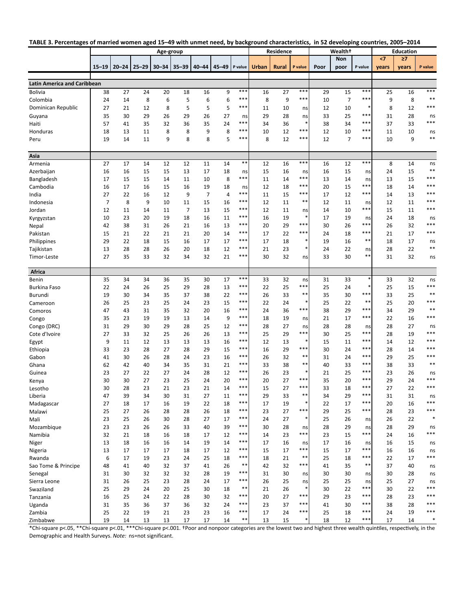|                                    |           |          |                 | Age-group |                |                |           |           |              | Residence    |           |          | <b>Wealth</b> <sup>+</sup> |             | <b>Education</b> |          |             |
|------------------------------------|-----------|----------|-----------------|-----------|----------------|----------------|-----------|-----------|--------------|--------------|-----------|----------|----------------------------|-------------|------------------|----------|-------------|
|                                    |           |          |                 |           |                |                |           |           |              |              |           |          | Non                        |             | $\leq$           | $\geq 7$ |             |
|                                    | $15 - 19$ |          | $20 - 24$ 25-29 | $30 - 34$ | $35 - 39$      | $40 - 44$      | $45 - 49$ | P value   | <b>Urban</b> | <b>Rural</b> | P value   | Poor     | poor                       | P value     | vears            | years    | P value     |
| <b>Latin America and Caribbean</b> |           |          |                 |           |                |                |           |           |              |              |           |          |                            |             |                  |          |             |
| <b>Bolivia</b>                     | 38        | 27       | 24              | 20        | 18             | 16             | 9         | $***$     | 16           | 27           | $***$     | 29       | 15                         | $***$       | 25               | 16       | $***$       |
| Colombia                           | 24        | 14       | 8               | 6         | 5              | 6              | 6         | $***$     | 8            | 9            | $***$     | 10       | $\overline{7}$             | $***$       | 9                | 8        | $***$       |
| Dominican Republic                 | 27        | 21       | 12              | 8         | 5              | 5              | 5         | $***$     | 11           | 10           |           | 12       | 10                         | *           | 8                | 12       | $***$       |
|                                    | 35        | 30       | 29              | 26        | 29             | 26             | 27        |           | 29           | 28           | ns<br>ns  | 33       | 25                         | $***$       | 31               | 28       |             |
| Guyana<br>Haiti                    | 57        | 41       | 35              | 32        | 36             | 35             | 24        | ns<br>*** | 34           | 36           |           | 38       | 34                         | $***$       | 37               | 33       | ns<br>***   |
| Honduras                           | 18        | 13       | 11              | 8         | 8              | 9              | 8         | $***$     | 10           | 12           | $***$     | 12       | 10                         | ***         | 11               | 10       |             |
| Peru                               | 19        | 14       | 11              | 9         | 8              | 8              | 5         | $***$     | 8            | 12           | $***$     | 12       | $\overline{7}$             | ***         | 10               | 9        | ns<br>$***$ |
|                                    |           |          |                 |           |                |                |           |           |              |              |           |          |                            |             |                  |          |             |
| Asia                               |           |          |                 |           |                |                |           |           |              |              |           |          |                            |             |                  |          |             |
| Armenia                            | 27        | 17       | 14              | 12        | 12             | 11             | 14        | $***$     | 12           | 16           | $***$     | 16       | 12                         | $***$       | 8                | 14       | ns          |
| Azerbaijan                         | 16        | 16       | 15              | 15        | 13             | 17             | 18        | ns        | 15           | 16           | ns        | 16       | 15                         | ns          | 24               | 15       | $***$       |
| Bangladesh                         | 17        | 15       | 15              | 14        | 11             | 10             | 8         | $***$     | 11           | 14           | ***       | 13       | 14                         | ns          | 13               | 15       | ***         |
| Cambodia                           | 16        | 17       | 16              | 15        | 16             | 19             | 18        | ns        | 12           | 18           | ***       | 20       | 15                         | $***$       | 18               | 14       | ***         |
| India                              | 27        | 22       | 16              | 12        | 9              | $\overline{7}$ | 4         | $***$     | 11           | 15           | ***       | 17       | 12                         | $***$       | 14               | 13       | ***         |
| Indonesia                          | 7         | 8        | 9               | 10        | 11             | 15             | 16        | $***$     | 12           | 11           | $***$     | 12       | 11                         | ns          | 12               | 11       | $***$       |
| Jordan                             | 12        | 11       | 14              | 11        | $\overline{7}$ | 13             | 15        | $***$     | 12           | 11           | ns        | 14       | 10                         | $***$       | 15               | 11       | $***$       |
| Kyrgyzstan                         | 10        | 23       | 20              | 19        | 18             | 16             | 11        | $***$     | 16           | 19           | $\ast$    | 17       | 19                         | ns          | 24               | 18       | ns          |
| Nepal                              | 42        | 38       | 31              | 26        | 21             | 16             | 13        | $***$     | 20           | 29           | ***       | 30       | 26                         | $***$       | 26               | 32       | $***$       |
| Pakistan                           | 15        | 21       | 22              | 21        | 21             | 20             | 14        | $***$     | 17           | 22           | $***$     | 24       | 18                         | $***$       | 21               | 17       | ***         |
| Philippines                        | 29        | 22       | 18              | 15        | 16             | 17             | 17        | $***$     | 17           | 18           | $\ast$    | 19       | 16                         | $***$       | 18               | 17       | ns          |
| Tajikistan                         | 13        | 28       | 28              | 26        | 20             | 18             | 12        | $***$     | 21           | 23           | *         | 24       | 22                         | ns          | 28               | 22       | $***$       |
| Timor-Leste                        | 27        | 35       | 33              | 32        | 34             | 32             | 21        | $***$     | 30           | 32           | ns        | 33       | 30                         | $***$       | 31               | 32       | ns          |
|                                    |           |          |                 |           |                |                |           |           |              |              |           |          |                            |             |                  |          |             |
| Africa                             |           |          |                 |           |                |                | 17        | $***$     |              |              |           |          | 33                         | $\ast$      |                  |          |             |
| Benin                              | 35        | 34       | 34              | 36        | 35             | 30             |           | $***$     | 33           | 32           | ns<br>*** | 31       |                            | *           | 33               | 32       | ns<br>***   |
| <b>Burkina Faso</b>                | 22        | 24       | 26              | 25        | 29             | 28             | 13        | $***$     | 22           | 25           | $***$     | 25       | 24                         | $***$       | 25               | 15       | $***$       |
| Burundi                            | 19        | 30       | 34              | 35        | 37             | 38             | 22        | $***$     | 26           | 33           | $\ast$    | 35       | 30                         | $***$       | 33               | 25       | $***$       |
| Cameroon                           | 26<br>47  | 25       | 23              | 25        | 24             | 23             | 15        | $***$     | 22<br>24     | 24<br>36     | $***$     | 25       | 22                         | $***$       | 25               | 20       | $***$       |
| Comoros                            | 35        | 43<br>23 | 31<br>19        | 35<br>19  | 32<br>13       | 20<br>14       | 16<br>9   | $***$     | 18           | 19           |           | 38<br>21 | 29<br>17                   | $***$       | 34<br>22         | 29<br>16 | ***         |
| Congo                              | 31        | 29       | 30              | 29        | 28             | 25             | 12        | $***$     | 28           | 27           | ns        | 28       | 28                         |             | 28               | 27       |             |
| Congo (DRC)<br>Cote d'Ivoire       | 27        | 33       | 32              | 25        | 26             | 26             | 13        | $***$     | 25           | 29           | ns<br>*** | 30       | 25                         | ns<br>$***$ | 28               | 19       | ns<br>***   |
|                                    | 9         | 11       | 12              | 13        | 13             | 13             | 16        | $***$     | 12           | 13           | $\ast$    | 15       | 11                         | ***         | 14               | 12       | ***         |
| Egypt<br>Ethiopia                  | 33        | 23       | 28              | 27        | 28             | 29             | 15        | $***$     | 16           | 29           | ***       | 30       | 24                         | ***         | 28               | 14       | ***         |
| Gabon                              | 41        | 30       | 26              | 28        | 24             | 23             | 16        | $***$     | 26           | 32           | $***$     | 31       | 24                         | $***$       | 29               | 25       | $***$       |
| Ghana                              | 62        | 42       | 40              | 34        | 35             | 31             | 21        | $***$     | 33           | 38           | $***$     | 40       | 33                         | ***         | 38               | 33       | $***$       |
| Guinea                             | 23        | 27       | 22              | 27        | 24             | 28             | 12        | $***$     | 26           | 23           |           | 21       | 25                         | ***         | 23               | 26       | ns          |
| Kenya                              | 30        | 30       | 27              | 23        | 25             | 24             | 20        | $***$     | 20           | 27           | ***       | 35       | 20                         | $***$       | 29               | 24       | $***$       |
| Lesotho                            | 30        | 28       | 23              | 21        | 23             | 21             | 14        | ***       | 15           | 27           | ***       | 33       | 18                         | $***$       | 27               | 22       | ***         |
| Liberia                            | 47        | 39       | 34              | 30        | 31             | 27             | 11        | **        | 29           | 33           | *         | 34       | 29                         | $* *$       | 31               | 31       | ns          |
| Madagascar                         | 27        | 18       | 17              | 16        | 19             | 22             | 18        | $***$     | 17           | 19           | ∗         | 22       | 17                         | $***$       | 20               | 16       | $***$       |
| Malawi                             | 25        | 27       | 26              | 28        | 28             | 26             | 18        | $***$     | 23           | 27           | $***$     | 29       | 25                         | $***$       | 28               | 23       | $***$       |
| Mali                               | 23        | 25       | 26              | 30        | 28             | 27             | 17        | $***$     | 24           | 27           | $\ast$    | 25       | 26                         | ns          | 26               | 22       |             |
| Mozambique                         | 23        | 23       | 26              | 26        | 33             | 40             | 39        | $***$     | 30           | 28           | ns        | 28       | 29                         | ns          | 28               | 29       | ns          |
| Namibia                            | 32        | 21       | 18              | 16        | 18             | 17             | 12        | $***$     | 14           | 23           | $***$     | 23       | 15                         | $***$       | 24               | 16       | $***$       |
| Niger                              | 13        | 18       | 16              | 16        | 14             | 19             | 14        | $***$     | 17           | 16           | ns        | 17       | 16                         | ns          | 16               | 15       | ns          |
| Nigeria                            | 13        | 17       | 17              | 17        | 18             | 17             | 12        | $***$     | 15           | 17           | ***       | 15       | 17                         | $***$       | 16               | 16       | ns          |
| Rwanda                             | 6         | 17       | 19              | 23        | 24             | 25             | 18        | $***$     | 18           | 21           | $***$     | 25       | 18                         | $***$       | 22               | 17       | $***$       |
| Sao Tome & Principe                | 48        | 41       | 40              | 32        | 37             | 41             | 26        | $***$     | 42           | 32           | ***       | 41       | 35                         | $***$       | 37               | 40       | ns          |
| Senegal                            | 31        | 30       | 32              | 32        | 32             | 28             | 19        | $***$     | 31           | 30           | ns        | 30       | 30                         | ns          | 30               | 28       | ns          |
| Sierra Leone                       | 31        | 26       | 25              | 23        | 28             | 24             | 17        | $***$     | 26           | 25           | ns        | 25       | 25                         | ns          | 25               | 27       | ns          |
| Swaziland                          | 25        | 29       | 24              | 20        | 25             | 30             | 18        | $***$     | 21           | 26           | $\ast$    | 30       | 22                         | $***$       | 30               | 22       | ***         |
| Tanzania                           | 16        | 25       | 24              | 22        | 28             | 30             | 32        | $***$     | 20           | 27           | $***$     | 29       | 23                         | $***$       | 28               | 23       | ***         |
| Uganda                             | 31        | 35       | 36              | 37        | 36             | 32             | 24        | $***$     | 23           | 37           | $***$     | 41       | 30                         | ***         | 38               | 28       | ***         |
| Zambia                             | 25        | 22       | 19              | 21        | 23             | 23             | 16        | $***$     | 17           | 24           | ***       | 25       | 18                         | $***$       | 24               | 19       | $***$       |
| Zimbabwe                           | 19        | 14       | 13              | 13        | 17             | 17             | 14        | $***$     | 13           | 15           | $\ast$    | 18       | 12                         | $***$       | 17               | 14       | $\ast$      |

\*Chi‐square p<.05, \*\*Chi‐square p<.01, \*\*\*Chi‐square p<.001. †Poor and nonpoor categories are the lowest two and highest three wealth quinƟles, respecƟvely, in the Demographic and Health Surveys. *Note:* ns=not significant.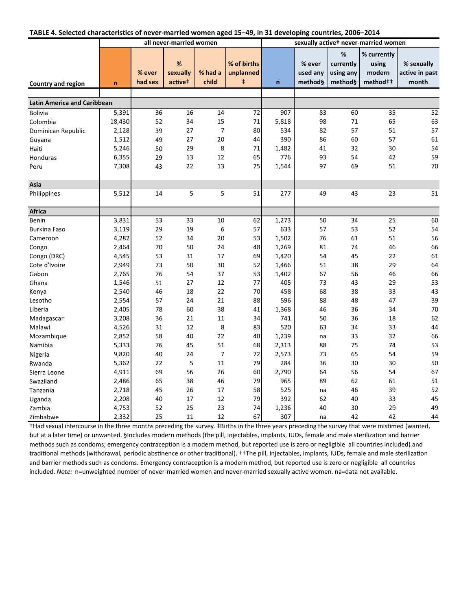| TABLE 4. Selected characteristics of never-married women aged 15-49, in 31 developing countries, 2006-2014 |  |  |  |  |
|------------------------------------------------------------------------------------------------------------|--|--|--|--|
|------------------------------------------------------------------------------------------------------------|--|--|--|--|

|                                    |        |                   | all never-married women              |                  |                                        |             | sexually active <sup>t</sup> never-married women |                                        |                                                        |                                       |  |  |
|------------------------------------|--------|-------------------|--------------------------------------|------------------|----------------------------------------|-------------|--------------------------------------------------|----------------------------------------|--------------------------------------------------------|---------------------------------------|--|--|
| Country and region                 | n      | % ever<br>had sex | %<br>sexually<br>active <sup>t</sup> | % had a<br>child | % of births<br>unplanned<br>$\ddagger$ | $\mathbf n$ | % ever<br>used any<br>method§                    | %<br>currently<br>using any<br>method§ | % currently<br>using<br>modern<br>method <sup>++</sup> | % sexually<br>active in past<br>month |  |  |
|                                    |        |                   |                                      |                  |                                        |             |                                                  |                                        |                                                        |                                       |  |  |
| <b>Latin America and Caribbean</b> |        |                   |                                      |                  |                                        |             |                                                  |                                        |                                                        |                                       |  |  |
| <b>Bolivia</b>                     | 5,391  | 36                | 16                                   | 14               | 72                                     | 907         | 83                                               | 60                                     | 35                                                     | 52                                    |  |  |
| Colombia                           | 18,430 | 52                | 34                                   | 15               | 71                                     | 5,818       | 98                                               | 71                                     | 65                                                     | 63                                    |  |  |
| Dominican Republic                 | 2,128  | 39                | 27                                   | $\overline{7}$   | 80                                     | 534         | 82                                               | 57                                     | 51                                                     | 57                                    |  |  |
| Guyana                             | 1,512  | 49                | 27                                   | 20               | 44                                     | 390         | 86                                               | 60                                     | 57                                                     | 61                                    |  |  |
| Haiti                              | 5,246  | 50                | 29                                   | 8                | 71                                     | 1,482       | 41                                               | 32                                     | 30                                                     | 54                                    |  |  |
| Honduras                           | 6,355  | 29                | 13                                   | 12               | 65                                     | 776         | 93                                               | 54                                     | 42                                                     | 59                                    |  |  |
| Peru                               | 7,308  | 43                | 22                                   | 13               | 75                                     | 1,544       | 97                                               | 69                                     | 51                                                     | 70                                    |  |  |
| Asia                               |        |                   |                                      |                  |                                        |             |                                                  |                                        |                                                        |                                       |  |  |
| Philippines                        | 5,512  | 14                | 5                                    | 5                | 51                                     | 277         | 49                                               | 43                                     | 23                                                     | $\overline{51}$                       |  |  |
| <b>Africa</b>                      |        |                   |                                      |                  |                                        |             |                                                  |                                        |                                                        |                                       |  |  |
| Benin                              | 3,831  | 53                | 33                                   | 10               | 62                                     | 1,273       | 50                                               | 34                                     | 25                                                     | 60                                    |  |  |
| <b>Burkina Faso</b>                | 3,119  | 29                | 19                                   | 6                | 57                                     | 633         | 57                                               | 53                                     | 52                                                     | 54                                    |  |  |
| Cameroon                           | 4,282  | 52                | 34                                   | 20               | 53                                     | 1,502       | 76                                               | 61                                     | 51                                                     | 56                                    |  |  |
| Congo                              | 2,464  | 70                | 50                                   | 24               | 48                                     | 1,269       | 81                                               | 74                                     | 46                                                     | 66                                    |  |  |
| Congo (DRC)                        | 4,545  | 53                | 31                                   | 17               | 69                                     | 1,420       | 54                                               | 45                                     | 22                                                     | 61                                    |  |  |
| Cote d'Ivoire                      | 2,949  | 73                | 50                                   | 30               | 52                                     | 1,466       | 51                                               | 38                                     | 29                                                     | 64                                    |  |  |
| Gabon                              | 2,765  | 76                | 54                                   | 37               | 53                                     | 1,402       | 67                                               | 56                                     | 46                                                     | 66                                    |  |  |
| Ghana                              | 1,546  | 51                | 27                                   | 12               | 77                                     | 405         | 73                                               | 43                                     | 29                                                     | 53                                    |  |  |
| Kenya                              | 2,540  | 46                | 18                                   | 22               | 70                                     | 458         | 68                                               | 38                                     | 33                                                     | 43                                    |  |  |
| Lesotho                            | 2,554  | 57                | 24                                   | 21               | 88                                     | 596         | 88                                               | 48                                     | 47                                                     | 39                                    |  |  |
| Liberia                            | 2,405  | 78                | 60                                   | 38               | 41                                     | 1,368       | 46                                               | 36                                     | 34                                                     | 70                                    |  |  |
| Madagascar                         | 3,208  | 36                | 21                                   | 11               | 34                                     | 741         | 50                                               | 36                                     | 18                                                     | 62                                    |  |  |
| Malawi                             | 4,526  | 31                | 12                                   | 8                | 83                                     | 520         | 63                                               | 34                                     | 33                                                     | 44                                    |  |  |
| Mozambique                         | 2,852  | 58                | 40                                   | 22               | 40                                     | 1,239       | na                                               | 33                                     | 32                                                     | 66                                    |  |  |
| Namibia                            | 5,333  | 76                | 45                                   | 51               | 68                                     | 2,313       | 88                                               | 75                                     | 74                                                     | 53                                    |  |  |
| Nigeria                            | 9,820  | 40                | 24                                   | $\overline{7}$   | 72                                     | 2,573       | 73                                               | 65                                     | 54                                                     | 59                                    |  |  |
| Rwanda                             | 5,362  | 22                | 5                                    | 11               | 79                                     | 284         | 36                                               | 30                                     | 30                                                     | 50                                    |  |  |
| Sierra Leone                       | 4,911  | 69                | 56                                   | 26               | 60                                     | 2,790       | 64                                               | 56                                     | 54                                                     | 67                                    |  |  |
| Swaziland                          | 2,486  | 65                | 38                                   | 46               | 79                                     | 965         | 89                                               | 62                                     | 61                                                     | 51                                    |  |  |
| Tanzania                           | 2,718  | 45                | 26                                   | 17               | 58                                     | 525         | na                                               | 46                                     | 39                                                     | 52                                    |  |  |
| Uganda                             | 2,208  | 40                | 17                                   | 12               | 79                                     | 392         | 62                                               | 40                                     | 33                                                     | 45                                    |  |  |
| Zambia                             | 4,753  | 52                | 25                                   | 23               | 74                                     | 1,236       | 40                                               | 30                                     | 29                                                     | 49                                    |  |  |
| Zimbabwe                           | 2,332  | 25                | 11                                   | 12               | 67                                     | 307         | na                                               | 42                                     | 42                                                     | 44                                    |  |  |

†Had sexual intercourse in the three months preceding the survey. ‡Births in the three years preceding the survey that were misƟmed (wanted, but at a later time) or unwanted. §Includes modern methods (the pill, injectables, implants, IUDs, female and male sterilization and barrier methods such as condoms; emergency contraception is a modern method, but reported use is zero or negligible all countries included) and traditional methods (withdrawal, periodic abstinence or other traditional). ††The pill, injectables, implants, IUDs, female and male sterilization and barrier methods such as condoms. Emergency contraception is a modern method, but reported use is zero or negligible all countries included. *Note:* n=unweighted number of never-married women and never-married sexually active women. na=data not available.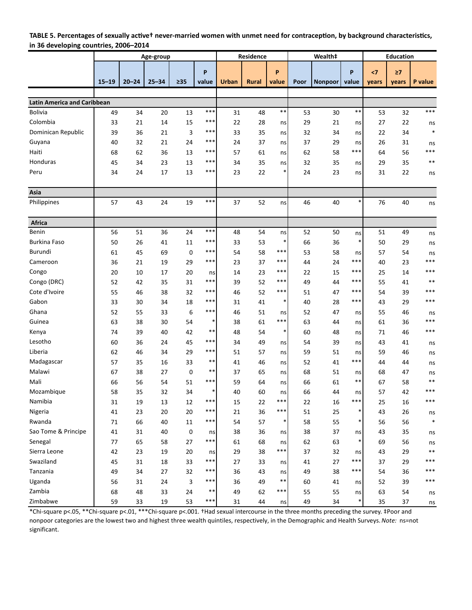### TABLE 5. Percentages of sexually active<sup>t</sup> never-married women with unmet need for contraception, by background characteristics, **in 36 developing countries, 2006–2014**

|                                    |           |           | Age-group |           |            |              | Residence |             |      | Wealth‡        |              | <b>Education</b> |          |              |
|------------------------------------|-----------|-----------|-----------|-----------|------------|--------------|-----------|-------------|------|----------------|--------------|------------------|----------|--------------|
|                                    |           |           |           |           |            |              |           |             |      |                |              |                  |          |              |
|                                    |           |           | $25 - 34$ | $\geq 35$ | P<br>value |              |           | P           |      |                | P            | $\leq 7$         | $\geq 7$ |              |
|                                    | $15 - 19$ | $20 - 24$ |           |           |            | <b>Urban</b> | Rural     | value       | Poor | <b>Nonpoor</b> | value        | years            | vears    | P value      |
|                                    |           |           |           |           |            |              |           |             |      |                |              |                  |          |              |
| <b>Latin America and Caribbean</b> |           |           |           |           | ***        |              |           | $\ast\ast$  |      |                | **           |                  |          | ***          |
| <b>Bolivia</b><br>Colombia         | 49        | 34        | 20        | 13        | ***        | 31           | 48        |             | 53   | 30             |              | 53               | 32       |              |
|                                    | 33        | 21        | 14        | 15        | ***        | 22           | 28        | ns          | 29   | 21             | ns           | 27               | 22       | ns<br>$\ast$ |
| Dominican Republic                 | 39        | 36        | 21        | 3         | ***        | 33           | 35        | ns          | 32   | 34             | ns           | 22               | 34       |              |
| Guyana                             | 40        | 32        | 21        | 24        |            | 24           | 37        | ns          | 37   | 29             | ns           | 26               | 31       | ns<br>***    |
| Haiti                              | 68        | 62        | 36        | 13        | ***<br>*** | 57           | 61        | ns          | 62   | 58             | ***          | 64               | 56       |              |
| Honduras                           | 45        | 34        | 23        | 13        |            | 34           | 35        | ns          | 32   | 35             | ns           | 29               | 35       | $***$        |
| Peru                               | 34        | 24        | 17        | 13        | ***        | 23           | 22        | *           | 24   | 23             | ns           | 31               | 22       | ns           |
| Asia                               |           |           |           |           |            |              |           |             |      |                |              |                  |          |              |
| Philippines                        |           |           |           |           | $***$      |              |           |             |      |                | $\ast$       |                  |          |              |
|                                    | 57        | 43        | 24        | 19        |            | 37           | 52        | ns          | 46   | 40             |              | 76               | 40       | ns           |
| Africa                             |           |           |           |           |            |              |           |             |      |                |              |                  |          |              |
| Benin                              | 56        | 51        | 36        | 24        | ***        | 48           | 54        | ns          | 52   | 50             | ns           | 51               | 49       | ns           |
| <b>Burkina Faso</b>                | 50        | 26        | 41        | 11        | ***        | 33           | 53        | *           | 66   | 36             | $\ast$       | 50               | 29       | ns           |
| Burundi                            | 61        | 45        | 69        | 0         | ***        | 54           | 58        | ***         | 53   | 58             | ns           | 57               | 54       | ns           |
| Cameroon                           | 36        | 21        | 19        | 29        | ***        | 23           | 37        | ***         | 44   | 24             | ***          | 40               | 23       | ***          |
| Congo                              | 20        | 10        | 17        | 20        |            | 14           | 23        | ***         | 22   | 15             | ***          | 25               | 14       | ***          |
| Congo (DRC)                        | 52        | 42        | 35        | 31        | ns<br>***  | 39           | 52        | ***         | 49   | 44             | ***          | 55               | 41       | $***$        |
| Cote d'Ivoire                      | 55        | 46        | 38        | 32        | ***        | 46           | 52        | ***         | 51   | 47             | ***          | 54               | 39       | ***          |
| Gabon                              | 33        | 30        | 34        | 18        | ***        | 31           | 41        | *           | 40   | 28             | ***          | 43               | 29       | ***          |
| Ghana                              | 52        | 55        | 33        | 6         | ***        | 46           | 51        |             | 52   | 47             |              | 55               | 46       |              |
| Guinea                             | 63        | 38        | 30        | 54        | *          | 38           | 61        | ns<br>***   | 63   | 44             | ns<br>ns     | 61               | 36       | ns<br>***    |
| Kenya                              | 74        | 39        | 40        | 42        | $***$      | 48           | 54        | $\ast$      | 60   | 48             | ns           | 71               | 46       | ***          |
| Lesotho                            | 60        | 36        | 24        | 45        | ***        | 34           | 49        |             | 54   | 39             |              | 43               | 41       |              |
| Liberia                            | 62        | 46        | 34        | 29        | ***        | 51           | 57        | ns<br>ns    | 59   | 51             | ns<br>ns     | 59               | 46       | ns           |
| Madagascar                         | 57        | 35        | 16        | 33        | $***$      | 41           | 46        | ns          | 52   | 41             | ***          | 44               | 44       | ns           |
| Malawi                             | 67        | 38        | 27        | 0         | $***$      | 37           | 65        | ns          | 68   | 51             | ns           | 68               | 47       | ns           |
| Mali                               | 66        | 56        | 54        | 51        | ***        | 59           | 64        | ns          | 66   | 61             | **           | 67               | 58       | ns<br>$***$  |
| Mozambique                         | 58        | 35        | 32        | 34        | *          | 40           | 60        | ns          | 66   | 44             | ns           | 57               | 42       | ***          |
| Namibia                            | 31        | 19        | 13        | 12        | ***        | 15           | 22        | ***         | 22   | 16             | $***$        | 25               | 16       | ***          |
| Nigeria                            | 41        | 23        | 20        | 20        | ***        | 21           | 36        | ***         | 51   | 25             | $\ast$       | 43               | 26       |              |
| Rwanda                             | 71        | 66        | 40        | 11        | ***        | 54           | 57        | $\ast$      | 58   | 55             | $\ast$       | 56               | 56       | ns<br>$\ast$ |
| Sao Tome & Principe                | 41        | 31        | 40        | 0         | ns         | 38           | 36        | ns          | 38   | 37             | ns           | 43               | 35       |              |
| Senegal                            | 77        | 65        | 58        | 27        | ***        | 61           | 68        |             | 62   | 63             | $\ast$       | 69               | 56       | ns           |
| Sierra Leone                       | 42        | 23        | 19        | 20        |            | 29           | 38        | ns<br>***   | 37   | 32             |              | 43               | 29       | ns<br>**     |
| Swaziland                          | 45        | 31        | 18        | 33        | ns<br>***  | 27           | 33        |             | 41   | 27             | ns<br>$***$  | 37               | 29       | ***          |
| Tanzania                           |           | 34        |           |           | ***        |              |           | ns          |      | 38             | $***$        | 54               | 36       | ***          |
| Uganda                             | 49        |           | 27        | 32        | ***        | 36           | 43<br>49  | ns<br>$***$ | 49   |                |              |                  | 39       | ***          |
| Zambia                             | 56        | 31        | 24        | 3         | $***$      | 36           |           | ***         | 60   | 41             | ns           | 52               |          |              |
|                                    | 68        | 48        | 33        | 24        | ***        | 49           | 62        |             | 55   | 55             | ns<br>$\ast$ | 63               | 54       | ns           |
| Zimbabwe                           | 59        | 33        | 19        | 53        |            | 31           | 44        | ns          | 49   | 34             |              | 35               | 37       | ns           |

\*Chi‐square p<.05, \*\*Chi‐square p<.01, \*\*\*Chi‐square p<.001. †Had sexual intercourse in the three months preceding the survey. ‡Poor and nonpoor categories are the lowest two and highest three wealth quintiles, respectively, in the Demographic and Health Surveys.*Note:* ns=not significant.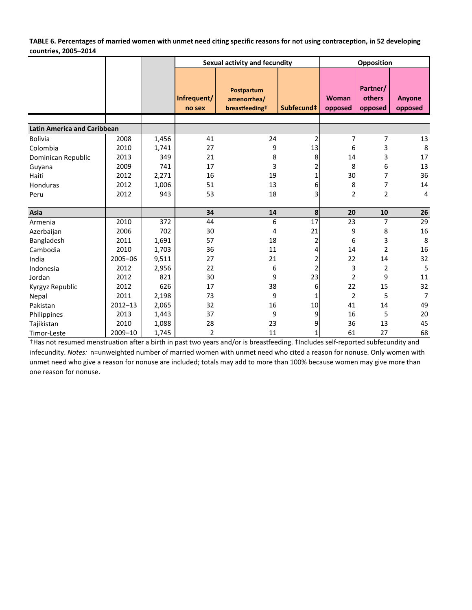**TABLE 6. Percentages of married women with unmet need citing specific reasons for not using contraception, in 52 developing countries, 2005–2014**

|                                    |             |       |                | Sexual activity and fecundity |                | Opposition     |                |                |  |
|------------------------------------|-------------|-------|----------------|-------------------------------|----------------|----------------|----------------|----------------|--|
|                                    |             |       |                |                               |                |                |                |                |  |
|                                    |             |       |                | Postpartum                    |                |                | Partner/       |                |  |
|                                    |             |       | Infrequent/    | amenorrhea/                   |                | <b>Woman</b>   | others         | Anyone         |  |
|                                    |             |       | no sex         | breastfeeding <sup>+</sup>    | Subfecund‡     | opposed        | opposed        | opposed        |  |
|                                    |             |       |                |                               |                |                |                |                |  |
| <b>Latin America and Caribbean</b> |             |       |                |                               |                |                |                |                |  |
| <b>Bolivia</b>                     | 2008        | 1,456 | 41             | 24                            | $\overline{2}$ | 7              | 7              | 13             |  |
| Colombia                           | 2010        | 1,741 | 27             | 9                             | 13             | 6              | 3              | 8              |  |
| Dominican Republic                 | 2013        | 349   | 21             | 8                             | 8              | 14             | 3              | 17             |  |
| Guyana                             | 2009        | 741   | 17             | 3                             |                | 8              | 6              | 13             |  |
| Haiti                              | 2012        | 2,271 | 16             | 19                            |                | 30             | 7              | 36             |  |
| Honduras                           | 2012        | 1,006 | 51             | 13                            | 6              | 8              | 7              | 14             |  |
| Peru                               | 2012        | 943   | 53             | 18                            | 3              | $\overline{2}$ | $\overline{2}$ | $\overline{4}$ |  |
|                                    |             |       |                |                               |                |                |                |                |  |
| Asia                               |             |       | 34             | 14                            | 8              | 20             | 10             | 26             |  |
| Armenia                            | 2010        | 372   | 44             | 6                             | 17             | 23             | 7              | 29             |  |
| Azerbaijan                         | 2006        | 702   | 30             | 4                             | 21             | 9              | 8              | 16             |  |
| Bangladesh                         | 2011        | 1,691 | 57             | 18                            | 2              | 6              | 3              | 8              |  |
| Cambodia                           | 2010        | 1,703 | 36             | 11                            | 4              | 14             | $\overline{2}$ | 16             |  |
| India                              | 2005-06     | 9,511 | 27             | 21                            | 2              | 22             | 14             | 32             |  |
| Indonesia                          | 2012        | 2,956 | 22             | 6                             |                | 3              | $\overline{2}$ | 5              |  |
| Jordan                             | 2012        | 821   | 30             | 9                             | 23             | $\overline{2}$ | 9              | 11             |  |
| Kyrgyz Republic                    | 2012        | 626   | 17             | 38                            | 6              | 22             | 15             | 32             |  |
| Nepal                              | 2011        | 2,198 | 73             | 9                             |                | $\overline{2}$ | 5              | $\overline{7}$ |  |
| Pakistan                           | $2012 - 13$ | 2,065 | 32             | 16                            | 10             | 41             | 14             | 49             |  |
| Philippines                        | 2013        | 1,443 | 37             | 9                             | 9              | 16             | 5              | 20             |  |
| Tajikistan                         | 2010        | 1,088 | 28             | 23                            | 9              | 36             | 13             | 45             |  |
| Timor-Leste                        | 2009-10     | 1,745 | $\overline{2}$ | 11                            | 1              | 61             | 27             | 68             |  |

†Has not resumed menstruation after a birth in past two years and/or is breastfeeding. ‡Includes self-reported subfecundity and infecundity. *Notes:* n=unweighted number of married women with unmet need who cited a reason for nonuse. Only women with unmet need who give a reason for nonuse are included; totals may add to more than 100% because women may give more than one reason for nonuse.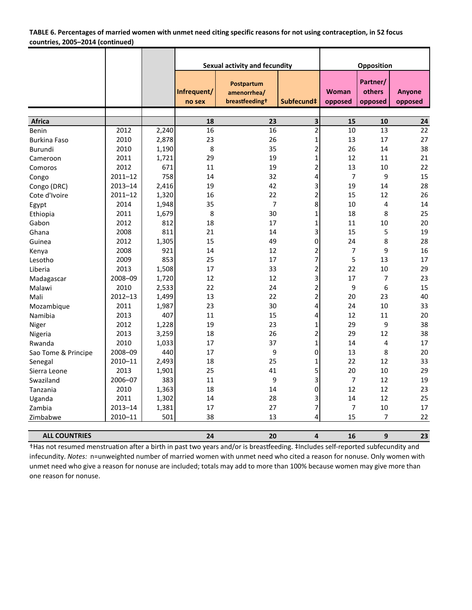| TABLE 6. Percentages of married women with unmet need citing specific reasons for not using contraception, in 52 focus |  |
|------------------------------------------------------------------------------------------------------------------------|--|
| countries, 2005–2014 (continued)                                                                                       |  |

|                      |             |                | Sexual activity and fecundity |                                                         |                              |                         | Opposition                    |                          |
|----------------------|-------------|----------------|-------------------------------|---------------------------------------------------------|------------------------------|-------------------------|-------------------------------|--------------------------|
|                      |             |                | Infrequent/<br>no sex         | Postpartum<br>amenorrhea/<br>breastfeeding <sup>+</sup> | Subfecund‡                   | <b>Woman</b><br>opposed | Partner/<br>others<br>opposed | <b>Anyone</b><br>opposed |
|                      |             |                |                               |                                                         |                              |                         |                               |                          |
| Africa               | 2012        | 2,240          | 18<br>$\overline{16}$         | 23<br>16                                                | 3<br>$\overline{\mathbf{c}}$ | 15<br>10                | 10<br>13                      | 24<br>$\overline{22}$    |
| Benin                | 2010        | 2,878          | 23                            | 26                                                      | $\mathbf 1$                  | 13                      | 17                            | 27                       |
| <b>Burkina Faso</b>  | 2010        |                | 8                             | 35                                                      | 2                            | 26                      | 14                            | 38                       |
| Burundi              |             | 1,190<br>1,721 | 29                            | 19                                                      |                              | 12                      | 11                            | 21                       |
| Cameroon             | 2011        | 671            |                               |                                                         | 1                            |                         |                               | 22                       |
| Comoros              | 2012        |                | 11                            | 19                                                      | 2                            | 13                      | 10                            |                          |
| Congo                | $2011 - 12$ | 758            | 14                            | 32                                                      | 4                            | $\overline{7}$          | 9                             | 15                       |
| Congo (DRC)          | $2013 - 14$ | 2,416          | 19                            | 42                                                      | 3                            | 19                      | 14                            | 28                       |
| Cote d'Ivoire        | $2011 - 12$ | 1,320          | 16                            | 22                                                      | 2                            | 15                      | 12                            | 26                       |
| Egypt                | 2014        | 1,948          | 35                            | $\overline{7}$                                          | 8                            | 10                      | 4                             | 14                       |
| Ethiopia             | 2011        | 1,679          | 8                             | 30                                                      | 1                            | 18                      | 8                             | 25                       |
| Gabon                | 2012        | 812            | 18                            | 17                                                      | 1                            | 11                      | 10                            | 20                       |
| Ghana                | 2008        | 811            | 21                            | 14                                                      | 3                            | 15                      | 5                             | 19                       |
| Guinea               | 2012        | 1,305          | 15                            | 49                                                      | 0                            | 24                      | 8                             | 28                       |
| Kenya                | 2008        | 921            | 14                            | 12                                                      | 2                            | 7                       | 9                             | 16                       |
| Lesotho              | 2009        | 853            | 25                            | 17                                                      | 7                            | 5                       | 13                            | 17                       |
| Liberia              | 2013        | 1,508          | 17                            | 33                                                      | $\overline{\mathbf{c}}$      | 22                      | 10                            | 29                       |
| Madagascar           | 2008-09     | 1,720          | 12                            | 12                                                      | 3                            | 17                      | $\overline{7}$                | 23                       |
| Malawi               | 2010        | 2,533          | 22                            | 24                                                      | $\overline{\mathbf{c}}$      | 9                       | 6                             | 15                       |
| Mali                 | $2012 - 13$ | 1,499          | 13                            | 22                                                      | $\overline{c}$               | 20                      | 23                            | 40                       |
| Mozambique           | 2011        | 1,987          | 23                            | 30                                                      | 4                            | 24                      | 10                            | 33                       |
| Namibia              | 2013        | 407            | 11                            | 15                                                      | 4                            | 12                      | 11                            | 20                       |
| Niger                | 2012        | 1,228          | 19                            | 23                                                      | 1                            | 29                      | 9                             | 38                       |
| Nigeria              | 2013        | 3,259          | 18                            | 26                                                      | $\overline{\mathbf{c}}$      | 29                      | 12                            | 38                       |
| Rwanda               | 2010        | 1,033          | 17                            | 37                                                      | $\mathbf{1}$                 | 14                      | 4                             | 17                       |
| Sao Tome & Principe  | 2008-09     | 440            | 17                            | 9                                                       | 0                            | 13                      | 8                             | 20                       |
| Senegal              | 2010-11     | 2,493          | 18                            | 25                                                      | 1                            | 22                      | 12                            | 33                       |
| Sierra Leone         | 2013        | 1,901          | 25                            | 41                                                      | 5                            | 20                      | 10                            | 29                       |
| Swaziland            | 2006-07     | 383            | 11                            | 9                                                       | 3                            | 7                       | 12                            | 19                       |
| Tanzania             | 2010        | 1,363          | 18                            | 14                                                      | 0                            | 12                      | 12                            | 23                       |
| Uganda               | 2011        | 1,302          | 14                            | 28                                                      | 3                            | 14                      | 12                            | 25                       |
| Zambia               | $2013 - 14$ | 1,381          | 17                            | 27                                                      | 7                            | 7                       | 10                            | 17                       |
| Zimbabwe             | 2010-11     | 501            | 38                            | 13                                                      | 4                            | 15                      | $\overline{7}$                | 22                       |
| <b>ALL COUNTRIES</b> |             |                | 24                            | 20                                                      | $\overline{\mathbf{4}}$      | 16                      | 9                             | 23                       |

†Has not resumed menstruation after a birth in past two years and/or is breastfeeding. ‡Includes self-reported subfecundity and infecundity. *Notes:* n=unweighted number of married women with unmet need who cited a reason for nonuse. Only women with unmet need who give a reason for nonuse are included; totals may add to more than 100% because women may give more than one reason for nonuse.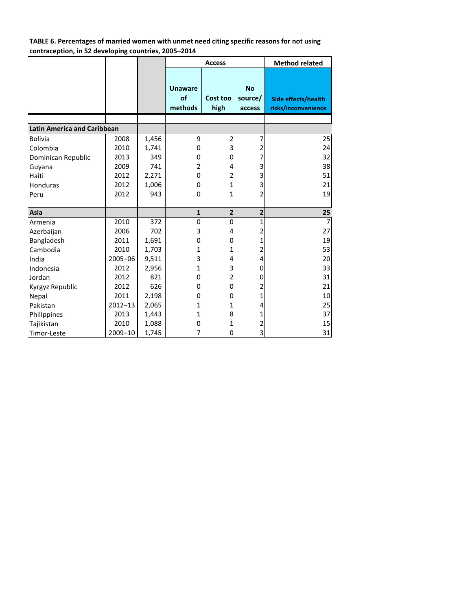**TABLE 6. Percentages of married women with unmet need citing specific reasons for not using contraception, in 52 developing countries, 2005–2014**

|                                    |             |       |                                 | <b>Access</b>    | <b>Method related</b>          |                                            |
|------------------------------------|-------------|-------|---------------------------------|------------------|--------------------------------|--------------------------------------------|
|                                    |             |       | <b>Unaware</b><br>of<br>methods | Cost too<br>high | <b>No</b><br>source/<br>access | Side effects/health<br>risks/inconvenience |
| <b>Latin America and Caribbean</b> |             |       |                                 |                  |                                |                                            |
|                                    |             |       |                                 |                  |                                |                                            |
| <b>Bolivia</b>                     | 2008        | 1,456 | 9                               | $\overline{2}$   | 7                              | 25                                         |
| Colombia                           | 2010        | 1,741 | 0                               | 3                | 2                              | 24                                         |
| Dominican Republic                 | 2013        | 349   | 0                               | 0                | 7                              | 32                                         |
| Guyana                             | 2009        | 741   | 2                               | 4                | 3                              | 38                                         |
| Haiti                              | 2012        | 2,271 | 0                               | $\overline{2}$   | 3                              | 51                                         |
| Honduras                           | 2012        | 1,006 | 0                               | $\mathbf{1}$     | 3                              | 21                                         |
| Peru                               | 2012        | 943   | 0                               | $\mathbf{1}$     | $\overline{2}$                 | 19                                         |
|                                    |             |       |                                 |                  |                                |                                            |
| Asia                               |             |       | $\mathbf 1$                     | $\overline{2}$   | $\overline{\mathbf{2}}$        | 25                                         |
| Armenia                            | 2010        | 372   | $\mathbf 0$                     | 0                | $\overline{1}$                 | $\overline{7}$                             |
| Azerbaijan                         | 2006        | 702   | 3                               | 4                | 2                              | 27                                         |
| Bangladesh                         | 2011        | 1,691 | 0                               | 0                | 1                              | 19                                         |
| Cambodia                           | 2010        | 1,703 | 1                               | 1                | 2                              | 53                                         |
| India                              | 2005-06     | 9,511 | 3                               | 4                | 4                              | 20                                         |
| Indonesia                          | 2012        | 2,956 | 1                               | 3                | $\mathbf{0}$                   | 33                                         |
| Jordan                             | 2012        | 821   | 0                               | $\overline{2}$   | 0                              | 31                                         |
| Kyrgyz Republic                    | 2012        | 626   | 0                               | 0                | 2                              | 21                                         |
| Nepal                              | 2011        | 2,198 | 0                               | 0                | $\mathbf{1}$                   | 10                                         |
| Pakistan                           | $2012 - 13$ | 2,065 | 1                               | $\mathbf{1}$     | 4                              | 25                                         |
| Philippines                        | 2013        | 1,443 | 1                               | 8                | 1                              | 37                                         |
| Tajikistan                         | 2010        | 1,088 | 0                               | 1                | 2                              | 15                                         |
| Timor-Leste                        | 2009-10     | 1,745 | 7                               | 0                | 3                              | 31                                         |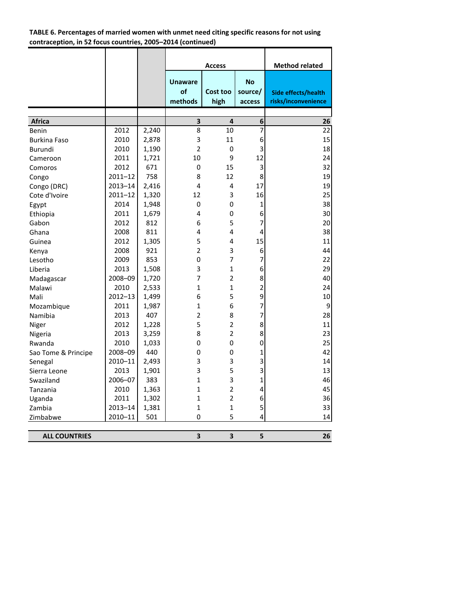# **TABLE 6. Percentages of married women with unmet need citing specific reasons for not using contraception, in 52 focus countries, 2005–2014 (continued)**

|                      |             |       |                                 | <b>Access</b>    |                                | <b>Method related</b>                             |
|----------------------|-------------|-------|---------------------------------|------------------|--------------------------------|---------------------------------------------------|
|                      |             |       | <b>Unaware</b><br>of<br>methods | Cost too<br>high | <b>No</b><br>source/<br>access | <b>Side effects/health</b><br>risks/inconvenience |
|                      |             |       |                                 |                  |                                |                                                   |
| Africa               |             |       | 3                               | 4                | 6                              | 26                                                |
| Benin                | 2012        | 2,240 | 8                               | 10               | 7                              | 22                                                |
| <b>Burkina Faso</b>  | 2010        | 2,878 | 3                               | 11               | 6                              | 15                                                |
| Burundi              | 2010        | 1,190 | $\overline{2}$                  | 0                | 3                              | 18                                                |
| Cameroon             | 2011        | 1,721 | 10                              | 9                | 12                             | 24                                                |
| Comoros              | 2012        | 671   | 0                               | 15               | 3                              | 32                                                |
| Congo                | $2011 - 12$ | 758   | 8                               | 12               | 8                              | 19                                                |
| Congo (DRC)          | $2013 - 14$ | 2,416 | 4                               | 4                | 17                             | 19                                                |
| Cote d'Ivoire        | $2011 - 12$ | 1,320 | 12                              | 3                | 16                             | 25                                                |
| Egypt                | 2014        | 1,948 | 0                               | 0                | $\mathbf 1$                    | 38                                                |
| Ethiopia             | 2011        | 1,679 | 4                               | 0                | 6                              | 30                                                |
| Gabon                | 2012        | 812   | 6                               | 5                | $\overline{7}$                 | 20                                                |
| Ghana                | 2008        | 811   | 4                               | 4                | 4                              | 38                                                |
| Guinea               | 2012        | 1,305 | 5                               | 4                | 15                             | 11                                                |
| Kenya                | 2008        | 921   | $\overline{2}$                  | 3                | 6                              | 44                                                |
| Lesotho              | 2009        | 853   | 0                               | 7                | $\overline{7}$                 | 22                                                |
| Liberia              | 2013        | 1,508 | 3                               | 1                | 6                              | 29                                                |
| Madagascar           | 2008-09     | 1,720 | 7                               | 2                | 8                              | 40                                                |
| Malawi               | 2010        | 2,533 | $\mathbf{1}$                    | $\mathbf{1}$     | $\overline{c}$                 | 24                                                |
| Mali                 | $2012 - 13$ | 1,499 | 6                               | 5                | 9                              | 10                                                |
| Mozambique           | 2011        | 1,987 | $\mathbf{1}$                    | 6                | $\overline{7}$                 | 9                                                 |
| Namibia              | 2013        | 407   | $\overline{2}$                  | 8                | $\overline{7}$                 | 28                                                |
| Niger                | 2012        | 1,228 | 5                               | $\overline{2}$   | 8                              | $11\,$                                            |
| Nigeria              | 2013        | 3,259 | 8                               | 2                | 8                              | 23                                                |
| Rwanda               | 2010        | 1,033 | 0                               | 0                | 0                              | 25                                                |
| Sao Tome & Principe  | 2008-09     | 440   | 0                               | 0                | 1                              | 42                                                |
| Senegal              | 2010-11     | 2,493 | 3                               | 3                | 3                              | 14                                                |
| Sierra Leone         | 2013        | 1,901 | 3                               | 5                | 3                              | 13                                                |
| Swaziland            | 2006-07     | 383   | $\mathbf{1}$                    | 3                | $\mathbf{1}$                   | 46                                                |
| Tanzania             | 2010        | 1,363 | $\mathbf{1}$                    | $\overline{2}$   | 4                              | 45                                                |
| Uganda               | 2011        | 1,302 | $\mathbf{1}$                    | 2                | 6                              | 36                                                |
| Zambia               | $2013 - 14$ | 1,381 | $\mathbf{1}$                    | 1                | 5                              | 33                                                |
| Zimbabwe             | 2010-11     | 501   | 0                               | 5                | 4                              | 14                                                |
|                      |             |       |                                 |                  |                                |                                                   |
| <b>ALL COUNTRIES</b> |             |       | 3                               | 3                | 5                              | 26                                                |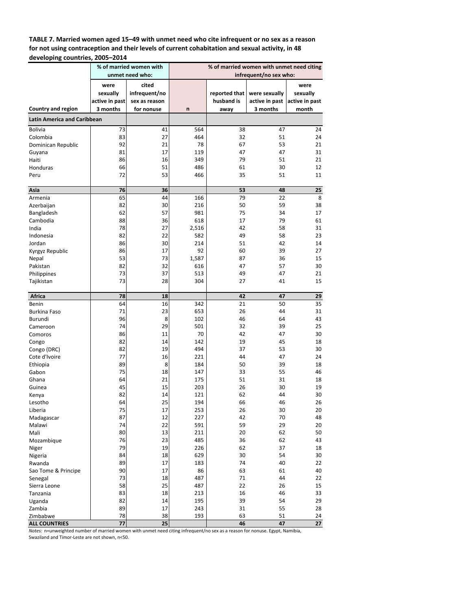**TABLE 7. Married women aged 15–49 with unmet need who cite infrequent or no sex as a reason for not using contraception and their levels of current cohabitation and sexual activity, in 48 developing countries, 2005–2014**

|                                                          |                                    | % of married women with<br>unmet need who: |            |                             | % of married women with unmet need citing<br>infrequent/no sex who: |                  |  |  |
|----------------------------------------------------------|------------------------------------|--------------------------------------------|------------|-----------------------------|---------------------------------------------------------------------|------------------|--|--|
|                                                          | were<br>sexually<br>active in past | cited<br>infrequent/no<br>sex as reason    |            | reported that<br>husband is | were sexually<br>active in past active in past                      | were<br>sexually |  |  |
| Country and region<br><b>Latin America and Caribbean</b> | 3 months                           | for nonuse                                 | n          | away                        | 3 months                                                            | month            |  |  |
|                                                          |                                    |                                            |            |                             |                                                                     |                  |  |  |
| <b>Bolivia</b><br>Colombia                               | 73<br>83                           | 41<br>27                                   | 564<br>464 | 38                          | 47                                                                  | 24<br>24         |  |  |
| Dominican Republic                                       | 92                                 | 21                                         | 78         | 32<br>67                    | 51<br>53                                                            | 21               |  |  |
| Guyana                                                   | 81                                 | 17                                         | 119        | 47                          | 47                                                                  | 31               |  |  |
| Haiti                                                    | 86                                 | 16                                         | 349        | 79                          | 51                                                                  | 21               |  |  |
| Honduras                                                 | 66                                 | 51                                         | 486        | 61                          | 30                                                                  | 12               |  |  |
| Peru                                                     | 72                                 | 53                                         | 466        | 35                          | 51                                                                  | 11               |  |  |
|                                                          |                                    |                                            |            |                             |                                                                     |                  |  |  |
| Asia<br>Armenia                                          | 76<br>65                           | 36<br>44                                   | 166        | 53<br>79                    | 48<br>22                                                            | 25<br>8          |  |  |
| Azerbaijan                                               | 82                                 | 30                                         | 216        | 50                          | 59                                                                  | 38               |  |  |
| Bangladesh                                               | 62                                 | 57                                         | 981        | 75                          | 34                                                                  | 17               |  |  |
| Cambodia                                                 | 88                                 | 36                                         | 618        | 17                          | 79                                                                  | 61               |  |  |
| India                                                    | 78                                 | 27                                         | 2,516      | 42                          | 58                                                                  | 31               |  |  |
| Indonesia                                                | 82                                 | 22                                         | 582        | 49                          | 58                                                                  | 23               |  |  |
| Jordan                                                   | 86                                 | 30                                         | 214        | 51                          | 42                                                                  | 14               |  |  |
| Kyrgyz Republic                                          | 86                                 | 17                                         | 92         | 60                          | 39                                                                  | 27               |  |  |
| Nepal                                                    | 53                                 | 73                                         | 1,587      | 87                          | 36                                                                  | 15               |  |  |
| Pakistan                                                 | 82                                 | 32                                         | 616        | 47                          | 57                                                                  | 30               |  |  |
| Philippines                                              | 73                                 | 37                                         | 513        | 49                          | 47                                                                  | 21               |  |  |
| Tajikistan                                               | 73                                 | 28                                         | 304        | 27                          | 41                                                                  | 15               |  |  |
| Africa                                                   | 78                                 | 18                                         |            | 42                          | 47                                                                  | 29               |  |  |
| Benin                                                    | 64                                 | 16                                         | 342        | 21                          | 50                                                                  | 35               |  |  |
| <b>Burkina Faso</b>                                      | 71                                 | 23                                         | 653        | 26                          | 44                                                                  | 31               |  |  |
| Burundi                                                  | 96                                 | 8                                          | 102        | 46                          | 64                                                                  | 43               |  |  |
| Cameroon                                                 | 74                                 | 29                                         | 501        | 32                          | 39                                                                  | 25               |  |  |
| Comoros                                                  | 86                                 | 11                                         | 70         | 42                          | 47                                                                  | 30               |  |  |
| Congo                                                    | 82                                 | 14                                         | 142        | 19                          | 45                                                                  | 18               |  |  |
| Congo (DRC)                                              | 82                                 | 19                                         | 494        | 37                          | 53                                                                  | 30               |  |  |
| Cote d'Ivoire                                            | 77                                 | 16                                         | 221        | 44                          | 47                                                                  | 24               |  |  |
| Ethiopia                                                 | 89                                 | 8                                          | 184        | 50                          | 39                                                                  | 18               |  |  |
| Gabon                                                    | 75                                 | 18                                         | 147        | 33                          | 55                                                                  | 46               |  |  |
| Ghana                                                    | 64                                 | 21                                         | 175        | 51                          | 31                                                                  | 18               |  |  |
| Guinea                                                   | 45                                 | 15                                         | 203        | 26                          | 30                                                                  | 19               |  |  |
| Kenya                                                    | 82                                 | 14                                         | 121        | 62                          | 44                                                                  | 30               |  |  |
| Lesotho                                                  | 64                                 | 25                                         | 194        | 66                          | 46                                                                  | 26               |  |  |
| Liberia                                                  | 75                                 | 17                                         | 253        | 26                          | 30                                                                  | 20               |  |  |
| Madagascar                                               | 87                                 | 12                                         | 227        | 42                          | 70                                                                  | 48               |  |  |
| Malawi<br>Mali                                           | 74<br>80                           | 22<br>13                                   | 591<br>211 | 59<br>20                    | 29<br>62                                                            | 20<br>50         |  |  |
| Mozambique                                               | 76                                 | 23                                         | 485        | 36                          | 62                                                                  | 43               |  |  |
| Niger                                                    | 79                                 | 19                                         | 226        | 62                          | 37                                                                  | 18               |  |  |
| Nigeria                                                  | 84                                 | 18                                         | 629        | 30                          | 54                                                                  | 30               |  |  |
| Rwanda                                                   | 89                                 | 17                                         | 183        | 74                          | 40                                                                  | 22               |  |  |
| Sao Tome & Principe                                      | 90                                 | 17                                         | 86         | 63                          | 61                                                                  | 40               |  |  |
| Senegal                                                  | 73                                 | 18                                         | 487        | 71                          | 44                                                                  | 22               |  |  |
| Sierra Leone                                             | 58                                 | 25                                         | 487        | 22                          | 26                                                                  | 15               |  |  |
| Tanzania                                                 | 83                                 | 18                                         | 213        | 16                          | 46                                                                  | 33               |  |  |
| Uganda                                                   | 82                                 | 14                                         | 195        | 39                          | 54                                                                  | 29               |  |  |
| Zambia                                                   | 89                                 | 17                                         | 243        | 31                          | 55                                                                  | 28               |  |  |
| Zimbabwe                                                 | 78                                 | 38                                         | 193        | 63                          | 51                                                                  | 24               |  |  |
| <b>ALL COUNTRIES</b>                                     | 77                                 | 25                                         |            | 46                          | 47                                                                  | 27               |  |  |

*Notes:* n=unweighted number of married women with unmet need citing infrequent/no sex as a reason for nonuse. Egypt, Namibia,

Swaziland and Timor‐Leste are not shown, n<50.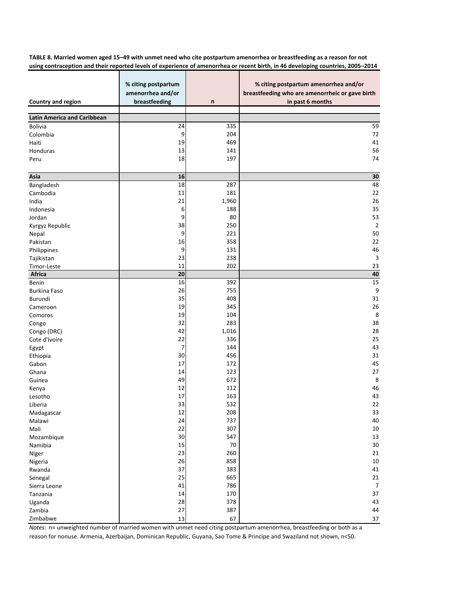TABLE 8. Married women aged 15-49 with unmet need who cite postpartum amenorrhea or breastfeeding as a reason for not using contraception and their reported levels of experience of amenorrhea or recent birth, in 46 developing countries, 2005-2014

| <b>Country and region</b>          | % citing postpartum<br>amenorrhea and/or<br>breastfeeding | n     | % citing postpartum amenorrhea and/or<br>breastfeeding who are amenorrheic or gave birth<br>in past 6 months |
|------------------------------------|-----------------------------------------------------------|-------|--------------------------------------------------------------------------------------------------------------|
| <b>Latin America and Caribbean</b> |                                                           |       |                                                                                                              |
| <b>Bolivia</b>                     | 24                                                        | 335   | 59                                                                                                           |
| Colombia                           | 9                                                         | 204   | 72                                                                                                           |
| Haiti                              | 19                                                        | 469   | 41                                                                                                           |
| Honduras                           | 13                                                        | 141   | 56                                                                                                           |
| Peru                               | 18                                                        | 197   | 74                                                                                                           |
| Asia                               | 16                                                        |       | $\bf{30}$                                                                                                    |
| Bangladesh                         | 18                                                        | 287   | 48                                                                                                           |
| Cambodia                           | 11                                                        | 181   | 22                                                                                                           |
| India                              | 21                                                        | 1,960 | 26                                                                                                           |
| Indonesia                          | 6                                                         | 188   | 35                                                                                                           |
| Jordan                             | 9                                                         | 80    | 53                                                                                                           |
| Kyrgyz Republic                    | 38                                                        | 250   | $\overline{2}$                                                                                               |
| Nepal                              | 9                                                         | 221   | 50                                                                                                           |
| Pakistan                           | 16                                                        | 358   | 22                                                                                                           |
| Philippines                        | 9                                                         | 131   | 46                                                                                                           |
| Tajikistan                         | 23                                                        | 238   | $\overline{3}$                                                                                               |
| Timor-Leste                        | 11                                                        | 202   | 23                                                                                                           |
| Africa                             | 20                                                        |       | 40                                                                                                           |
| Benin                              | 16                                                        | 392   | 15                                                                                                           |
| <b>Burkina Faso</b>                | 26                                                        | 755   | 9                                                                                                            |
| Burundi                            | 35                                                        | 408   | 31                                                                                                           |
| Cameroon                           | 19                                                        | 345   | 26                                                                                                           |
| Comoros                            | 19                                                        | 104   | 8                                                                                                            |
| Congo                              | 32                                                        | 283   | 38                                                                                                           |
| Congo (DRC)                        | 42                                                        | 1,016 | 28                                                                                                           |
| Cote d'Ivoire                      | 22                                                        | 336   | 25                                                                                                           |
| Egypt                              | 7                                                         | 144   | 43                                                                                                           |
| Ethiopia                           | 30                                                        | 456   | 31                                                                                                           |
| Gabon                              | 17                                                        | 172   | 45                                                                                                           |
| Ghana                              | 14                                                        | 123   | 27                                                                                                           |
| Guinea                             | 49                                                        | 672   | 8                                                                                                            |
| Kenya                              | 12                                                        | 112   | 46                                                                                                           |
| Lesotho                            | 17                                                        | 163   | 43                                                                                                           |
| Liberia                            | 33                                                        | 532   | 22                                                                                                           |
| Madagascar                         | 12                                                        | 208   | 33                                                                                                           |
| Malawi                             | 24                                                        | 737   | 40                                                                                                           |
| Mali                               | 22                                                        | 307   | $10\,$                                                                                                       |
| Mozambique                         | 30                                                        | 547   | 13                                                                                                           |
| Namibia                            | 15                                                        | 70    | 30                                                                                                           |
| Niger                              | 23                                                        | 260   | 21                                                                                                           |
| Nigeria                            | 26                                                        | 858   | 10                                                                                                           |
| Rwanda                             | 37                                                        | 383   | 41                                                                                                           |
| Senegal                            | 25                                                        | 665   | 21                                                                                                           |
| Sierra Leone                       | 41                                                        | 786   | $\overline{7}$                                                                                               |
| Tanzania                           | 14                                                        | 170   | 37                                                                                                           |
| Uganda                             | 28                                                        | 378   | 43                                                                                                           |
| Zambia                             | 27                                                        | 387   | 44                                                                                                           |
| Zimbabwe                           | 13                                                        | 67    | 37                                                                                                           |

*Notes:* n= unweighted number of married women with unmet need citing postpartum amenorrhea, breastfeeding or both as a reason for nonuse. Armenia, Azerbaijan, Dominican Republic, Guyana, Sao Tome & Principe and Swaziland not shown, n<50.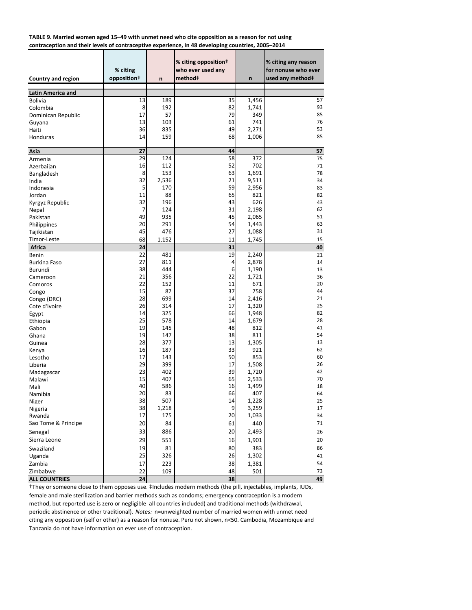**TABLE 9. Married women aged 15–49 with unmet need who cite opposition as a reason for not using contraception and their levels of contraceptive experience, in 48 developing countries, 2005–2014**

| <b>Country and region</b>                  | % citing<br>opposition <sup>+</sup> | n     | % citing opposition+<br>who ever used any<br>method‡ | n     | % citing any reason<br>for nonuse who ever<br>used any method‡ |
|--------------------------------------------|-------------------------------------|-------|------------------------------------------------------|-------|----------------------------------------------------------------|
|                                            |                                     |       |                                                      |       |                                                                |
| <b>Latin America and</b><br><b>Bolivia</b> | 13                                  | 189   | 35                                                   | 1,456 | 57                                                             |
| Colombia                                   | 8                                   | 192   | 82                                                   | 1,741 | 93                                                             |
|                                            | 17                                  | 57    | 79                                                   | 349   | 85                                                             |
| Dominican Republic                         | 13                                  | 103   | 61                                                   | 741   | 76                                                             |
| Guyana                                     | 36                                  | 835   | 49                                                   | 2,271 | 53                                                             |
| Haiti<br>Honduras                          | 14                                  | 159   | 68                                                   | 1,006 | 85                                                             |
|                                            |                                     |       |                                                      |       |                                                                |
| Asia                                       | 27                                  |       | 44                                                   |       | 57                                                             |
| Armenia                                    | 29                                  | 124   | 58                                                   | 372   | 75                                                             |
| Azerbaijan                                 | 16                                  | 112   | 52                                                   | 702   | 71                                                             |
| Bangladesh                                 | 8                                   | 153   | 63                                                   | 1,691 | 78                                                             |
| India                                      | 32                                  | 2,536 | 21                                                   | 9,511 | 34                                                             |
| Indonesia                                  | 5                                   | 170   | 59                                                   | 2,956 | 83                                                             |
| Jordan                                     | 11                                  | 88    | 65                                                   | 821   | 82                                                             |
| Kyrgyz Republic                            | 32                                  | 196   | 43                                                   | 626   | 43                                                             |
| Nepal                                      | 7                                   | 124   | 31                                                   | 2,198 | 62                                                             |
| Pakistan                                   | 49                                  | 935   | 45                                                   | 2,065 | 51                                                             |
| Philippines                                | 20                                  | 291   | 54                                                   | 1,443 | 63                                                             |
| Tajikistan                                 | 45                                  | 476   | 27                                                   | 1,088 | 31                                                             |
| Timor-Leste                                | 68                                  | 1,152 | 11                                                   | 1,745 | 15                                                             |
| Africa                                     | 24                                  |       | 31                                                   |       | 40                                                             |
| Benin                                      | 22                                  | 481   | 19                                                   | 2,240 | 21                                                             |
| Burkina Faso                               | 27                                  | 811   | 4                                                    | 2,878 | 14                                                             |
| Burundi                                    | 38                                  | 444   | 6                                                    | 1,190 | 13                                                             |
| Cameroon                                   | 21                                  | 356   | 22                                                   | 1,721 | 36                                                             |
| Comoros                                    | 22                                  | 152   | 11                                                   | 671   | 20                                                             |
| Congo                                      | 15                                  | 87    | 37                                                   | 758   | 44                                                             |
| Congo (DRC)                                | 28                                  | 699   | 14                                                   | 2,416 | 21                                                             |
| Cote d'Ivoire                              | 26                                  | 314   | 17                                                   | 1,320 | 25                                                             |
| Egypt                                      | 14                                  | 325   | 66                                                   | 1,948 | 82                                                             |
| Ethiopia                                   | 25                                  | 578   | 14                                                   | 1,679 | 28                                                             |
| Gabon                                      | 19                                  | 145   | 48                                                   | 812   | 41                                                             |
| Ghana                                      | 19                                  | 147   | 38                                                   | 811   | 54                                                             |
| Guinea                                     | 28                                  | 377   | 13                                                   | 1,305 | 13                                                             |
| Kenya                                      | 16                                  | 187   | 33                                                   | 921   | 62                                                             |
| Lesotho                                    | 17                                  | 143   | 50                                                   | 853   | 60                                                             |
| Liberia                                    | 29                                  | 399   | 17                                                   | 1,508 | 26                                                             |
| Madagascar                                 | 23                                  | 402   | 39                                                   | 1,720 | 42                                                             |
| Malawi                                     | 15                                  | 407   | 65                                                   | 2,533 | 70                                                             |
| Mali                                       | 40                                  | 586   | 16                                                   | 1,499 | 18                                                             |
| Namibia                                    | 20                                  | 83    | 66                                                   | 407   | 64                                                             |
| Niger                                      | 38                                  | 507   | 14                                                   | 1,228 | 25                                                             |
| Nigeria                                    | 38                                  | 1,218 | 9                                                    | 3,259 | 17                                                             |
| Rwanda                                     | 17                                  | 175   | 20                                                   | 1,033 | 34                                                             |
| Sao Tome & Principe                        | 20                                  | 84    | 61                                                   | 440   | 71                                                             |
| Senegal                                    | 33                                  | 886   | 20                                                   | 2,493 | 26                                                             |
| Sierra Leone                               | 29                                  | 551   | 16                                                   | 1,901 | 20                                                             |
| Swaziland                                  | 19                                  | 81    | 80                                                   | 383   | 86                                                             |
| Uganda                                     | 25                                  | 326   | 26                                                   | 1,302 | 41                                                             |
| Zambia                                     | 17                                  | 223   | 38                                                   | 1,381 | 54                                                             |
| Zimbabwe                                   | 22                                  | 109   | 48                                                   | 501   | 73                                                             |
| <b>ALL COUNTRIES</b>                       | 24                                  |       | 38                                                   |       | 49                                                             |

†They or someone close to them opposes use. ‡Includes modern methods (the pill, injectables, implants, IUDs, female and male sterilization and barrier methods such as condoms; emergency contraception is a modern method, but reported use is zero or negligible all countries included) and traditional methods (withdrawal, periodic abstinence or other traditional). *Notes:* n=unweighted number of married women with unmet need citing any opposition (self or other) as a reason for nonuse. Peru not shown, n<50. Cambodia, Mozambique and Tanzania do not have information on ever use of contraception.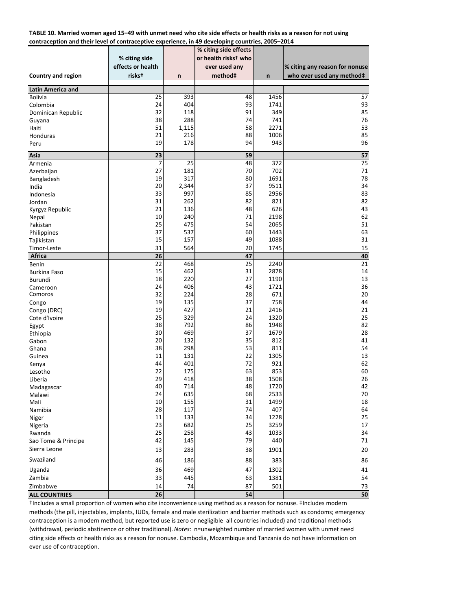| TABLE 10. Married women aged 15-49 with unmet need who cite side effects or health risks as a reason for not using |  |
|--------------------------------------------------------------------------------------------------------------------|--|
| contraception and their level of contraceptive experience, in 49 developing countries, 2005–2014                   |  |

|                          |                           |            | % citing side effects |              |                                |
|--------------------------|---------------------------|------------|-----------------------|--------------|--------------------------------|
|                          | % citing side             |            | or health riskst who  |              |                                |
|                          | effects or health         |            | ever used any         |              | % citing any reason for nonuse |
|                          |                           |            |                       |              |                                |
| Country and region       | <b>risks</b> <sup>+</sup> | n          | method#               | n            | who ever used any method‡      |
| <b>Latin America and</b> |                           |            |                       |              |                                |
| <b>Bolivia</b>           | 25                        | 393        | 48                    | 1456         | 57                             |
| Colombia                 | 24                        | 404        | 93                    | 1741         | 93                             |
| Dominican Republic       | 32                        | 118        | 91                    | 349          | 85                             |
| Guyana                   | 38                        | 288        | 74                    | 741          | 76                             |
| Haiti                    | 51                        | 1,115      | 58                    | 2271         | 53                             |
| Honduras                 | 21                        | 216        | 88                    | 1006         | 85                             |
| Peru                     | 19                        | 178        | 94                    | 943          | 96                             |
|                          |                           |            |                       |              |                                |
| Asia                     | 23                        | 25         | 59                    |              | 57<br>75                       |
| Armenia                  | 7                         |            | 48<br>70              | 372          |                                |
| Azerbaijan               | 27<br>19                  | 181<br>317 | 80                    | 702<br>1691  | 71<br>78                       |
| Bangladesh               | 20                        | 2,344      | 37                    | 9511         | 34                             |
| India                    | 33                        | 997        | 85                    | 2956         | 83                             |
| Indonesia                | 31                        | 262        | 82                    | 821          | 82                             |
| Jordan                   | 21                        |            |                       | 626          |                                |
| Kyrgyz Republic          | 10                        | 136<br>240 | 48<br>71              | 2198         | 43<br>62                       |
| Nepal                    |                           |            |                       |              |                                |
| Pakistan                 | 25<br>37                  | 475<br>537 | 54<br>60              | 2065<br>1443 | 51<br>63                       |
| Philippines              | 15                        | 157        | 49                    | 1088         | 31                             |
| Tajikistan               |                           |            |                       |              |                                |
| Timor-Leste              | 31                        | 564        | 20                    | 1745         | 15                             |
| Africa                   | $\overline{26}$<br>22     | 468        | 47<br>25              | 2240         | 40<br>21                       |
| Benin                    | 15                        | 462        | 31                    | 2878         | 14                             |
| Burkina Faso<br>Burundi  | 18                        | 220        | 27                    | 1190         | 13                             |
| Cameroon                 | 24                        | 406        | 43                    | 1721         | 36                             |
| Comoros                  | 32                        | 224        | 28                    | 671          | 20                             |
|                          | 19                        | 135        | 37                    | 758          | 44                             |
| Congo<br>Congo (DRC)     | 19                        | 427        | 21                    | 2416         | 21                             |
| Cote d'Ivoire            | 25                        | 329        | 24                    | 1320         | 25                             |
| Egypt                    | 38                        | 792        | 86                    | 1948         | 82                             |
| Ethiopia                 | 30                        | 469        | 37                    | 1679         | 28                             |
| Gabon                    | 20                        | 132        | 35                    | 812          | 41                             |
| Ghana                    | 38                        | 298        | 53                    | 811          | 54                             |
| Guinea                   | 11                        | 131        | 22                    | 1305         | 13                             |
| Kenya                    | 44                        | 401        | 72                    | 921          | 62                             |
| Lesotho                  | 22                        | 175        | 63                    | 853          | 60                             |
| Liberia                  | 29                        | 418        | 38                    | 1508         | 26                             |
| Madagascar               | 40                        | 714        | 48                    | 1720         | 42                             |
| Malawi                   | 24                        | 635        | 68                    | 2533         | 70                             |
| Mali                     | 10                        | 155        | 31                    | 1499         | 18                             |
| Namibia                  | 28                        | 117        | 74                    | 407          | 64                             |
| Niger                    | 11                        | 133        | 34                    | 1228         | 25                             |
| Nigeria                  | 23                        | 682        | 25                    | 3259         | 17                             |
| Rwanda                   | 25                        | 258        | 43                    | 1033         | 34                             |
| Sao Tome & Principe      | 42                        | 145        | 79                    | 440          | 71                             |
| Sierra Leone             | 13                        | 283        | 38                    | 1901         | 20                             |
| Swaziland                | 46                        | 186        | 88                    | 383          | 86                             |
|                          |                           |            |                       |              |                                |
| Uganda                   | 36                        | 469        | 47                    | 1302         | 41                             |
| Zambia                   | 33                        | 445        | 63                    | 1381         | 54                             |
| Zimbabwe                 | 14                        | 74         | 87                    | 501          | 73                             |
| <b>ALL COUNTRIES</b>     | 26                        |            | 54                    |              | 50                             |

†Includes a small proporƟon of women who cite inconvenience using method as a reason for nonuse. ‡Includes modern methods (the pill, injectables, implants, IUDs, female and male sterilization and barrier methods such as condoms; emergency contraception is a modern method, but reported use is zero or negligible all countries included) and traditional methods (withdrawal, periodic abstinence or other traditional). *Notes:* n=unweighted number of married women with unmet need citing side effects or health risks as a reason for nonuse. Cambodia, Mozambique and Tanzania do not have information on ever use of contraception.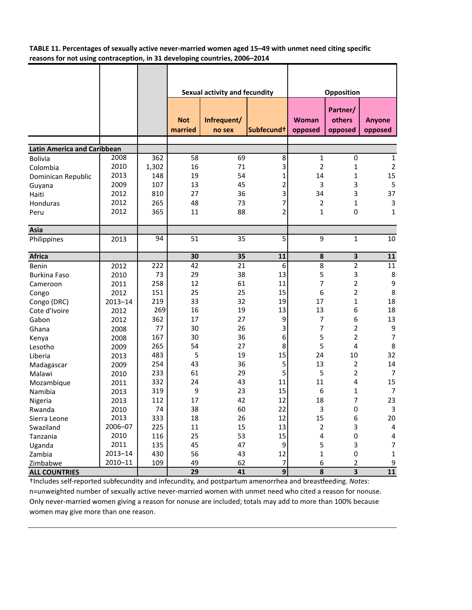**TABLE 11. Percentages of sexually active never-married women aged 15–49 with unmet need citing specific reasons for not using contraception, in 31 developing countries, 2006–2014**

|                                    |             |       | Sexual activity and fecundity |                       |                        |                  | Opposition                    |                   |
|------------------------------------|-------------|-------|-------------------------------|-----------------------|------------------------|------------------|-------------------------------|-------------------|
|                                    |             |       | <b>Not</b><br>married         | Infrequent/<br>no sex | Subfecund <sup>+</sup> | Woman<br>opposed | Partner/<br>others<br>opposed | Anyone<br>opposed |
| <b>Latin America and Caribbean</b> |             |       |                               |                       |                        |                  |                               |                   |
| <b>Bolivia</b>                     | 2008        | 362   | 58                            | 69                    | 8                      | 1                | 0                             | 1                 |
| Colombia                           | 2010        | 1,302 | 16                            | 71                    | 3                      | $\overline{2}$   | 1                             | $\overline{2}$    |
| Dominican Republic                 | 2013        | 148   | 19                            | 54                    | 1                      | 14               | $\mathbf{1}$                  | 15                |
| Guyana                             | 2009        | 107   | 13                            | 45                    | 2                      | 3                | 3                             | 5                 |
| Haiti                              | 2012        | 810   | 27                            | 36                    | 3                      | 34               | 3                             | 37                |
| Honduras                           | 2012        | 265   | 48                            | 73                    | 7                      | 2                | 1                             | 3                 |
| Peru                               | 2012        | 365   | 11                            | 88                    | 2                      | $\mathbf{1}$     | 0                             | 1                 |
|                                    |             |       |                               |                       |                        |                  |                               |                   |
| Asia                               |             |       |                               |                       |                        |                  |                               |                   |
| Philippines                        | 2013        | 94    | 51                            | 35                    | 5                      | 9                | $\mathbf{1}$                  | 10                |
| <b>Africa</b>                      |             |       | 30                            | 35                    | 11                     | 8                | $\mathbf 3$                   | 11                |
| Benin                              | 2012        | 222   | 42                            | 21                    | 6                      | 8                | $\overline{2}$                | 11                |
| <b>Burkina Faso</b>                | 2010        | 73    | 29                            | 38                    | 13                     | 5                | 3                             | 8                 |
| Cameroon                           | 2011        | 258   | 12                            | 61                    | 11                     | 7                | $\overline{\mathbf{c}}$       | $\boldsymbol{9}$  |
| Congo                              | 2012        | 151   | 25                            | 25                    | 15                     | 6                | $\overline{2}$                | 8                 |
| Congo (DRC)                        | $2013 - 14$ | 219   | 33                            | 32                    | 19                     | 17               | $\mathbf 1$                   | 18                |
| Cote d'Ivoire                      | 2012        | 269   | 16                            | 19                    | 13                     | 13               | 6                             | 18                |
| Gabon                              | 2012        | 362   | 17                            | 27                    | 9                      | 7                | 6                             | 13                |
| Ghana                              | 2008        | 77    | 30                            | 26                    | 3                      | 7                | $\overline{2}$                | 9                 |
| Kenya                              | 2008        | 167   | 30                            | 36                    | 6                      | 5                | $\overline{2}$                | $\overline{7}$    |
| Lesotho                            | 2009        | 265   | 54                            | 27                    | 8                      | 5                | 4                             | 8                 |
| Liberia                            | 2013        | 483   | 5                             | 19                    | 15                     | 24               | 10                            | 32                |
| Madagascar                         | 2009        | 254   | 43                            | 36                    | 5                      | 13               | 2                             | 14                |
| Malawi                             | 2010        | 233   | 61                            | 29                    | 5                      | 5                | 2                             | 7                 |
| Mozambique                         | 2011        | 332   | 24                            | 43                    | 11                     | 11               | 4                             | 15                |
| Namibia                            | 2013        | 319   | 9                             | 23                    | 15                     | 6                | 1                             | $\overline{7}$    |
| Nigeria                            | 2013        | 112   | 17                            | 42                    | 12                     | 18               | 7                             | 23                |
| Rwanda                             | 2010        | 74    | 38                            | 60                    | 22                     | 3                | 0                             | 3                 |
| Sierra Leone                       | 2013        | 333   | 18                            | 26                    | 12                     | 15               | 6                             | 20                |
| Swaziland                          | 2006-07     | 225   | 11                            | 15                    | 13                     | $\overline{2}$   | 3                             | 4                 |
| Tanzania                           | 2010        | 116   | 25                            | 53                    | 15                     | 4                | 0                             | 4                 |
| Uganda                             | 2011        | 135   | 45                            | 47                    | $\boldsymbol{9}$       | 5                | 3                             | 7                 |
| Zambia                             | $2013 - 14$ | 430   | 56                            | 43                    | 12                     | $\mathbf 1$      | $\pmb{0}$                     | $\mathbf 1$       |
| Zimbabwe                           | $2010 - 11$ | 109   | 49                            | 62                    | $\boldsymbol{7}$       | 6                | $\mathbf 2$                   | 9                 |
| <b>ALL COUNTRIES</b>               |             |       | 29                            | 41                    | 9                      | 8                | $\overline{\mathbf{3}}$       | ${\bf 11}$        |

†Includes self‐reported subfecundity and infecundity, and postpartum amenorrhea and breasƞeeding. *Notes:* n=unweighted number of sexually active never‐married women with unmet need who cited a reason for nonuse. Only never‐married women giving a reason for nonuse are included; totals may add to more than 100% because women may give more than one reason.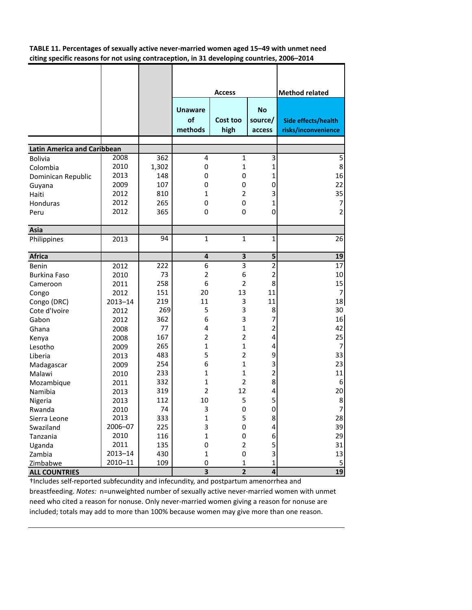**TABLE 11. Percentages of sexually active never-married women aged 15–49 with unmet need citing specific reasons for not using contraception, in 31 developing countries, 2006–2014**

|                                    |             |       |                                 | <b>Access</b>    |                                | <b>Method related</b>                      |
|------------------------------------|-------------|-------|---------------------------------|------------------|--------------------------------|--------------------------------------------|
|                                    |             |       | <b>Unaware</b><br>of<br>methods | Cost too<br>high | <b>No</b><br>source/<br>access | Side effects/health<br>risks/inconvenience |
| <b>Latin America and Caribbean</b> |             |       |                                 |                  |                                |                                            |
| <b>Bolivia</b>                     | 2008        | 362   | 4                               | 1                | 3                              | 5                                          |
| Colombia                           | 2010        | 1,302 | 0                               | $\mathbf{1}$     | $\mathbf{1}$                   | 8                                          |
| Dominican Republic                 | 2013        | 148   | 0                               | 0                | 1                              | 16                                         |
| Guyana                             | 2009        | 107   | 0                               | 0                | 0                              | 22                                         |
| Haiti                              | 2012        | 810   | 1                               | $\overline{2}$   | 3                              | 35                                         |
| Honduras                           | 2012        | 265   | 0                               | 0                | 1                              | 7                                          |
| Peru                               | 2012        | 365   | $\mathbf 0$                     | 0                | 0                              | $\overline{2}$                             |
|                                    |             |       |                                 |                  |                                |                                            |
| Asia                               |             |       |                                 |                  |                                |                                            |
| Philippines                        | 2013        | 94    | $\mathbf{1}$                    | $\mathbf{1}$     | 1                              | 26                                         |
| <b>Africa</b>                      |             |       | 4                               | 3                | 5                              | 19                                         |
| Benin                              | 2012        | 222   | 6                               | 3                | 2                              | 17                                         |
| <b>Burkina Faso</b>                | 2010        | 73    | $\overline{2}$                  | 6                | $\overline{2}$                 | 10                                         |
| Cameroon                           | 2011        | 258   | 6                               | $\overline{2}$   | 8                              | 15                                         |
| Congo                              | 2012        | 151   | 20                              | 13               | 11                             | 7                                          |
| Congo (DRC)                        | $2013 - 14$ | 219   | 11                              | 3                | 11                             | 18                                         |
| Cote d'Ivoire                      | 2012        | 269   | 5                               | 3                | 8                              | 30                                         |
| Gabon                              | 2012        | 362   | 6                               | 3                | 7                              | 16                                         |
| Ghana                              | 2008        | 77    | 4                               | $\mathbf{1}$     | 2                              | 42                                         |
| Kenya                              | 2008        | 167   | $\overline{2}$                  | $\overline{2}$   | 4                              | 25                                         |
| Lesotho                            | 2009        | 265   | 1                               | $\mathbf{1}$     | 4                              | 7                                          |
| Liberia                            | 2013        | 483   | 5                               | $\overline{2}$   | 9                              | 33                                         |
| Madagascar                         | 2009        | 254   | 6                               | $\mathbf{1}$     | 3                              | 23                                         |
| Malawi                             | 2010        | 233   | 1                               | $\mathbf{1}$     | 2                              | 11                                         |
| Mozambique                         | 2011        | 332   | 1                               | $\overline{2}$   | 8                              | 6                                          |
| Namibia                            | 2013        | 319   | $\overline{2}$                  | 12               | 4                              | 20                                         |
| Nigeria                            | 2013        | 112   | 10                              | 5                | 5                              | 8                                          |
| Rwanda                             | 2010        | 74    | 3                               | 0                | 0                              | 7                                          |
| Sierra Leone                       | 2013        | 333   | $\mathbf 1$                     | 5                | 8                              | 28                                         |
| Swaziland                          | 2006-07     | 225   | 3                               | 0                | 4                              | 39                                         |
| Tanzania                           | 2010        | 116   | $\mathbf 1$                     | 0                | 6                              | 29                                         |
| Uganda                             | 2011        | 135   | $\mathbf 0$                     | $\overline{2}$   | 5                              | 31                                         |
| Zambia                             | 2013-14     | 430   | $\mathbf 1$                     | 0                | 3                              | 13                                         |
| Zimbabwe                           | 2010-11     | 109   | 0                               | $\mathbf{1}$     | 1                              | 5                                          |
| <b>ALL COUNTRIES</b>               |             |       | $\overline{\mathbf{3}}$         | $\overline{2}$   | 4                              | 19                                         |

†Includes self‐reported subfecundity and infecundity, and postpartum amenorrhea and breastfeeding. *Notes:* n=unweighted number of sexually active never‐married women with unmet need who cited a reason for nonuse. Only never-married women giving a reason for nonuse are included; totals may add to more than 100% because women may give more than one reason.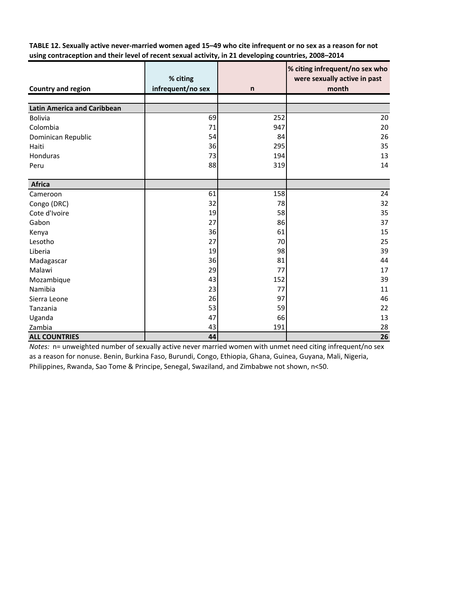TABLE 12. Sexually active never-married women aged 15-49 who cite infrequent or no sex as a reason for not **using contraception and their level of recent sexual activity, in 21 developing countries, 2008–2014**

|                                    | % citing          |              | % citing infrequent/no sex who<br>were sexually active in past |
|------------------------------------|-------------------|--------------|----------------------------------------------------------------|
| <b>Country and region</b>          | infrequent/no sex | $\mathsf{n}$ | month                                                          |
|                                    |                   |              |                                                                |
| <b>Latin America and Caribbean</b> |                   |              |                                                                |
| <b>Bolivia</b>                     | 69                | 252          | 20                                                             |
| Colombia                           | 71                | 947          | 20                                                             |
| Dominican Republic                 | 54                | 84           | 26                                                             |
| Haiti                              | 36                | 295          | 35                                                             |
| Honduras                           | 73                | 194          | 13                                                             |
| Peru                               | 88                | 319          | 14                                                             |
|                                    |                   |              |                                                                |
| <b>Africa</b>                      |                   |              |                                                                |
| Cameroon                           | 61                | 158          | 24                                                             |
| Congo (DRC)                        | 32                | 78           | 32                                                             |
| Cote d'Ivoire                      | 19                | 58           | 35                                                             |
| Gabon                              | 27                | 86           | 37                                                             |
| Kenya                              | 36                | 61           | 15                                                             |
| Lesotho                            | 27                | 70           | 25                                                             |
| Liberia                            | 19                | 98           | 39                                                             |
| Madagascar                         | 36                | 81           | 44                                                             |
| Malawi                             | 29                | 77           | 17                                                             |
| Mozambique                         | 43                | 152          | 39                                                             |
| Namibia                            | 23                | 77           | 11                                                             |
| Sierra Leone                       | 26                | 97           | 46                                                             |
| Tanzania                           | 53                | 59           | 22                                                             |
| Uganda                             | 47                | 66           | 13                                                             |
| Zambia                             | 43                | 191          | 28                                                             |
| <b>ALL COUNTRIES</b>               | 44                |              | 26                                                             |

*Notes:* n= unweighted number of sexually active never married women with unmet need citing infrequent/no sex as a reason for nonuse. Benin, Burkina Faso, Burundi, Congo, Ethiopia, Ghana, Guinea, Guyana, Mali, Nigeria, Philippines, Rwanda, Sao Tome & Principe, Senegal, Swaziland, and Zimbabwe not shown, n<50.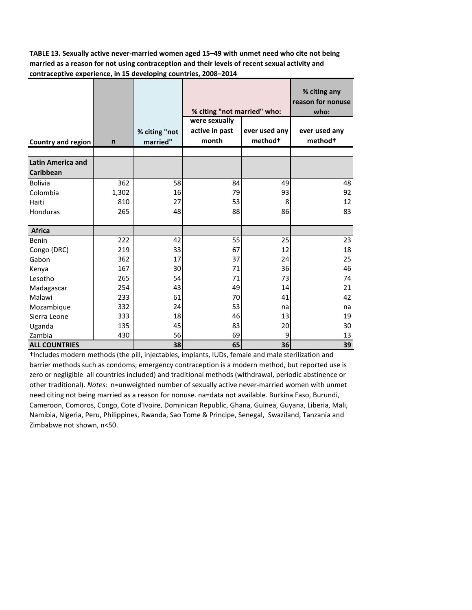**TABLE 13. Sexually active never-married women aged 15–49 with unmet need who cite not being married as a reason for not using contraception and their levels of recent sexual activity and contraceptive experience, in 15 developing countries, 2008–2014**

|                          |              |               |                             | % citing any<br>reason for nonuse |                     |  |
|--------------------------|--------------|---------------|-----------------------------|-----------------------------------|---------------------|--|
|                          |              |               | % citing "not married" who: |                                   | who:                |  |
|                          |              |               | were sexually               |                                   |                     |  |
|                          |              | % citing "not | active in past              | ever used any                     | ever used any       |  |
| Country and region       | $\mathsf{n}$ | married"      | month                       | method <sup>+</sup>               | method <sup>+</sup> |  |
|                          |              |               |                             |                                   |                     |  |
| <b>Latin America and</b> |              |               |                             |                                   |                     |  |
| Caribbean                |              |               |                             |                                   |                     |  |
| <b>Bolivia</b>           | 362          | 58            | 84                          | 49                                | 48                  |  |
| Colombia                 | 1,302        | 16            | 79                          | 93                                | 92                  |  |
| Haiti                    | 810          | 27            | 53                          | 8                                 | 12                  |  |
| Honduras                 | 265          | 48            | 88                          | 86                                | 83                  |  |
|                          |              |               |                             |                                   |                     |  |
| <b>Africa</b>            |              |               |                             |                                   |                     |  |
| Benin                    | 222          | 42            | 55                          | 25                                | 23                  |  |
| Congo (DRC)              | 219          | 33            | 67                          | 12                                | 18                  |  |
| Gabon                    | 362          | 17            | 37                          | 24                                | 25                  |  |
| Kenya                    | 167          | 30            | 71                          | 36                                | 46                  |  |
| Lesotho                  | 265          | 54            | 71                          | 73                                | 74                  |  |
| Madagascar               | 254          | 43            | 49                          | 14                                | 21                  |  |
| Malawi                   | 233          | 61            | 70                          | 41                                | 42                  |  |
| Mozambique               | 332          | 24            | 53                          | na                                | na                  |  |
| Sierra Leone             | 333          | 18            | 46                          | 13                                | 19                  |  |
| Uganda                   | 135          | 45            | 83                          | 20                                | 30                  |  |
| Zambia                   | 430          | 56            | 69                          | 9                                 | 13                  |  |
| <b>ALL COUNTRIES</b>     |              | 38            | 65                          | 36                                | 39                  |  |

†Includes modern methods (the pill, injectables, implants, IUDs, female and male sterilization and barrier methods such as condoms; emergency contraception is a modern method, but reported use is zero or negligible all countries included) and traditional methods (withdrawal, periodic abstinence or other traditional). *Notes:* n=unweighted number of sexually active never-married women with unmet need citing not being married as a reason for nonuse. na=data not available. Burkina Faso, Burundi, Cameroon, Comoros, Congo, Cote d'Ivoire, Dominican Republic, Ghana, Guinea, Guyana, Liberia, Mali, Namibia, Nigeria, Peru, Philippines, Rwanda, Sao Tome & Principe, Senegal, Swaziland, Tanzania and Zimbabwe not shown, n<50.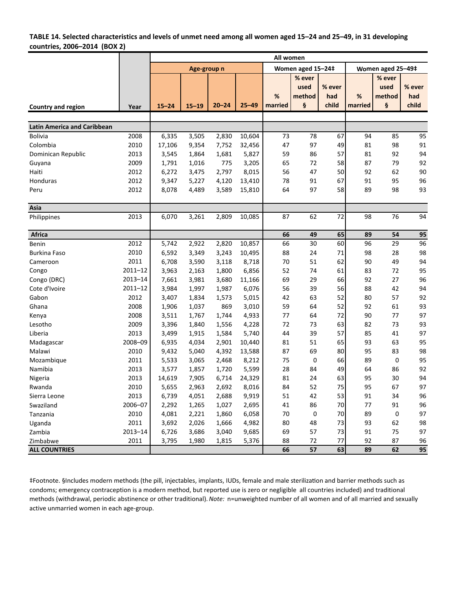### TABLE 14. Selected characteristics and levels of unmet need among all women aged 15-24 and 25-49, in 31 developing **countries, 2006–2014 (BOX 2)**

|                                    |             | All women   |           |           |           |         |                   |        |                   |        |        |  |
|------------------------------------|-------------|-------------|-----------|-----------|-----------|---------|-------------------|--------|-------------------|--------|--------|--|
|                                    |             | Age-group n |           |           |           |         | Women aged 15-24‡ |        | Women aged 25-49‡ |        |        |  |
|                                    |             |             |           |           |           |         | % ever            |        |                   | % ever |        |  |
|                                    |             |             |           |           |           |         | used              | % ever |                   | used   | % ever |  |
|                                    |             |             |           |           |           | %       | method            | had    | %                 | method | had    |  |
| Country and region                 | Year        | $15 - 24$   | $15 - 19$ | $20 - 24$ | $25 - 49$ | married | ş                 | child  | married           | ş      | child  |  |
|                                    |             |             |           |           |           |         |                   |        |                   |        |        |  |
| <b>Latin America and Caribbean</b> |             |             |           |           |           |         |                   |        |                   |        |        |  |
| <b>Bolivia</b>                     | 2008        | 6,335       | 3,505     | 2,830     | 10,604    | 73      | 78                | 67     | 94                | 85     | 95     |  |
| Colombia                           | 2010        | 17,106      | 9,354     | 7,752     | 32,456    | 47      | 97                | 49     | 81                | 98     | 91     |  |
| Dominican Republic                 | 2013        | 3,545       | 1,864     | 1,681     | 5,827     | 59      | 86                | 57     | 81                | 92     | 94     |  |
| Guyana                             | 2009        | 1,791       | 1,016     | 775       | 3,205     | 65      | 72                | 58     | 87                | 79     | 92     |  |
| Haiti                              | 2012        | 6,272       | 3,475     | 2,797     | 8,015     | 56      | 47                | 50     | 92                | 62     | 90     |  |
| Honduras                           | 2012        | 9,347       | 5,227     | 4,120     | 13,410    | 78      | 91                | 67     | 91                | 95     | 96     |  |
| Peru                               | 2012        | 8,078       | 4,489     | 3,589     | 15,810    | 64      | 97                | 58     | 89                | 98     | 93     |  |
|                                    |             |             |           |           |           |         |                   |        |                   |        |        |  |
| Asia                               |             |             |           |           |           |         |                   |        |                   |        |        |  |
| Philippines                        | 2013        | 6,070       | 3,261     | 2,809     | 10,085    | 87      | 62                | 72     | 98                | 76     | 94     |  |
| Africa                             |             |             |           |           |           | 66      | 49                | 65     | 89                | 54     | 95     |  |
| Benin                              | 2012        | 5,742       | 2,922     | 2,820     | 10,857    | 66      | 30                | 60     | 96                | 29     | 96     |  |
| <b>Burkina Faso</b>                | 2010        | 6,592       | 3,349     | 3,243     | 10,495    | 88      | 24                | 71     | 98                | 28     | 98     |  |
| Cameroon                           | 2011        | 6,708       | 3,590     | 3,118     | 8,718     | 70      | 51                | 62     | 90                | 49     | 94     |  |
| Congo                              | $2011 - 12$ | 3,963       | 2,163     | 1,800     | 6,856     | 52      | 74                | 61     | 83                | 72     | 95     |  |
| Congo (DRC)                        | $2013 - 14$ | 7,661       | 3,981     | 3,680     | 11,166    | 69      | 29                | 66     | 92                | 27     | 96     |  |
| Cote d'Ivoire                      | $2011 - 12$ | 3,984       | 1,997     | 1,987     | 6,076     | 56      | 39                | 56     | 88                | 42     | 94     |  |
| Gabon                              | 2012        | 3,407       | 1,834     | 1,573     | 5,015     | 42      | 63                | 52     | 80                | 57     | 92     |  |
| Ghana                              | 2008        | 1,906       | 1,037     | 869       | 3,010     | 59      | 64                | 52     | 92                | 61     | 93     |  |
| Kenya                              | 2008        | 3,511       | 1,767     | 1,744     | 4,933     | 77      | 64                | 72     | 90                | 77     | 97     |  |
| Lesotho                            | 2009        | 3,396       | 1,840     | 1,556     | 4,228     | 72      | 73                | 63     | 82                | 73     | 93     |  |
| Liberia                            | 2013        | 3,499       | 1,915     | 1,584     | 5,740     | 44      | 39                | 57     | 85                | 41     | 97     |  |
| Madagascar                         | 2008-09     | 6,935       | 4,034     | 2,901     | 10,440    | 81      | 51                | 65     | 93                | 63     | 95     |  |
| Malawi                             | 2010        | 9,432       | 5,040     | 4,392     | 13,588    | 87      | 69                | 80     | 95                | 83     | 98     |  |
| Mozambique                         | 2011        | 5,533       | 3,065     | 2,468     | 8,212     | 75      | $\mathbf 0$       | 66     | 89                | 0      | 95     |  |
| Namibia                            | 2013        | 3,577       | 1,857     | 1,720     | 5,599     | 28      | 84                | 49     | 64                | 86     | 92     |  |
| Nigeria                            | 2013        | 14,619      | 7,905     | 6,714     | 24,329    | 81      | 24                | 63     | 95                | 30     | 94     |  |
| Rwanda                             | 2010        | 5,655       | 2,963     | 2,692     | 8,016     | 84      | 52                | 75     | 95                | 67     | 97     |  |
| Sierra Leone                       | 2013        | 6,739       | 4,051     | 2,688     | 9,919     | 51      | 42                | 53     | 91                | 34     | 96     |  |
| Swaziland                          | 2006-07     | 2,292       | 1,265     | 1,027     | 2,695     | 41      | 86                | 70     | 77                | 91     | 96     |  |
| Tanzania                           | 2010        | 4,081       | 2,221     | 1,860     | 6,058     | 70      | $\mathbf 0$       | 70     | 89                | 0      | 97     |  |
| Uganda                             | 2011        | 3,692       | 2,026     | 1,666     | 4,982     | 80      | 48                | 73     | 93                | 62     | 98     |  |
| Zambia                             | $2013 - 14$ | 6,726       | 3,686     | 3,040     | 9,685     | 69      | 57                | 73     | 91                | 75     | 97     |  |
| Zimbabwe                           | 2011        | 3,795       | 1,980     | 1,815     | 5,376     | 88      | 72                | 77     | 92                | 87     | 96     |  |
| <b>ALL COUNTRIES</b>               |             |             |           |           |           | 66      | 57                | 63     | 89                | 62     | 95     |  |

‡Footnote. §Includes modern methods (the pill, injectables, implants, IUDs, female and male sterilizaƟon and barrier methods such as condoms; emergency contraception is a modern method, but reported use is zero or negligible all countries included) and traditional methods (withdrawal, periodic abstinence or other traditional). *Note:* n=unweighted number of all women and of all married and sexually active unmarried women in each age‐group.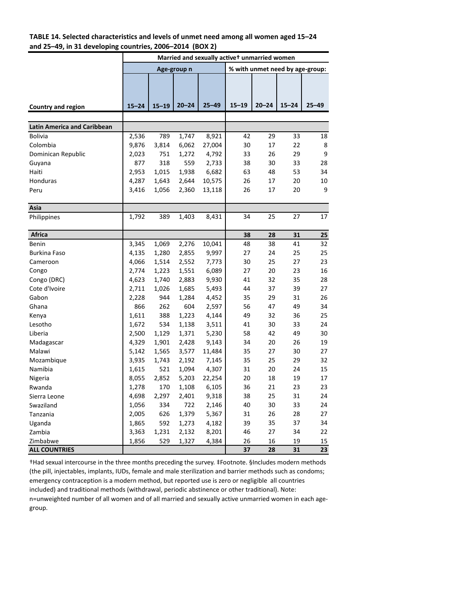### **TABLE 14. Selected characteristics and levels of unmet need among all women aged 15–24 and 25–49, in 31 developing countries, 2006–2014 (BOX 2)**

|                                    | Married and sexually activet unmarried women |           |             |           |                                 |           |           |           |  |  |
|------------------------------------|----------------------------------------------|-----------|-------------|-----------|---------------------------------|-----------|-----------|-----------|--|--|
|                                    |                                              |           | Age-group n |           | % with unmet need by age-group: |           |           |           |  |  |
|                                    |                                              |           |             |           |                                 |           |           |           |  |  |
|                                    |                                              |           |             |           |                                 |           |           |           |  |  |
|                                    |                                              |           |             |           |                                 |           |           |           |  |  |
| Country and region                 | $15 - 24$                                    | $15 - 19$ | $20 - 24$   | $25 - 49$ | $15 - 19$                       | $20 - 24$ | $15 - 24$ | $25 - 49$ |  |  |
|                                    |                                              |           |             |           |                                 |           |           |           |  |  |
| <b>Latin America and Caribbean</b> |                                              |           |             |           |                                 |           |           |           |  |  |
| <b>Bolivia</b>                     | 2,536                                        | 789       | 1,747       | 8,921     | 42                              | 29        | 33        | 18        |  |  |
| Colombia                           | 9,876                                        | 3,814     | 6,062       | 27,004    | 30                              | 17        | 22        | 8         |  |  |
| Dominican Republic                 | 2,023                                        | 751       | 1,272       | 4,792     | 33                              | 26        | 29        | 9         |  |  |
| Guyana                             | 877                                          | 318       | 559         | 2,733     | 38                              | 30        | 33        | 28        |  |  |
| Haiti                              | 2,953                                        | 1,015     | 1,938       | 6,682     | 63                              | 48        | 53        | 34        |  |  |
| Honduras                           | 4,287                                        | 1,643     | 2,644       | 10,575    | 26                              | 17        | 20        | 10        |  |  |
| Peru                               | 3,416                                        | 1,056     | 2,360       | 13,118    | 26                              | 17        | 20        | 9         |  |  |
|                                    |                                              |           |             |           |                                 |           |           |           |  |  |
| Asia                               |                                              |           |             |           |                                 |           |           |           |  |  |
| Philippines                        | 1,792                                        | 389       | 1,403       | 8,431     | 34                              | 25        | 27        | 17        |  |  |
|                                    |                                              |           |             |           |                                 |           |           |           |  |  |
| <b>Africa</b>                      |                                              |           |             |           | 38                              | 28        | 31        | 25        |  |  |
| <b>Benin</b>                       | 3,345                                        | 1,069     | 2,276       | 10,041    | 48                              | 38        | 41        | 32        |  |  |
| <b>Burkina Faso</b>                | 4,135                                        | 1,280     | 2,855       | 9,997     | 27                              | 24        | 25        | 25        |  |  |
| Cameroon                           | 4,066                                        | 1,514     | 2,552       | 7,773     | 30                              | 25        | 27        | 23        |  |  |
| Congo                              | 2,774                                        | 1,223     | 1,551       | 6,089     | 27                              | 20        | 23        | 16        |  |  |
| Congo (DRC)                        | 4,623                                        | 1,740     | 2,883       | 9,930     | 41                              | 32        | 35        | 28        |  |  |
| Cote d'Ivoire                      | 2,711                                        | 1,026     | 1,685       | 5,493     | 44                              | 37        | 39        | 27        |  |  |
| Gabon                              | 2,228                                        | 944       | 1,284       | 4,452     | 35                              | 29        | 31        | 26        |  |  |
| Ghana                              | 866                                          | 262       | 604         | 2,597     | 56                              | 47        | 49        | 34        |  |  |
| Kenya                              | 1,611                                        | 388       | 1,223       | 4,144     | 49                              | 32        | 36        | 25        |  |  |
| Lesotho                            | 1,672                                        | 534       | 1,138       | 3,511     | 41                              | 30        | 33        | 24        |  |  |
| Liberia                            | 2,500                                        | 1,129     | 1,371       | 5,230     | 58                              | 42        | 49        | 30        |  |  |
| Madagascar                         | 4,329                                        | 1,901     | 2,428       | 9,143     | 34                              | 20        | 26        | 19        |  |  |
| Malawi                             | 5,142                                        | 1,565     | 3,577       | 11,484    | 35                              | 27        | 30        | 27        |  |  |
| Mozambique                         | 3,935                                        | 1,743     | 2,192       | 7,145     | 35                              | 25        | 29        | 32        |  |  |
| Namibia                            | 1,615                                        | 521       | 1,094       | 4,307     | 31                              | 20        | 24        | 15        |  |  |
| Nigeria                            | 8,055                                        | 2,852     | 5,203       | 22,254    | 20                              | 18        | 19        | 17        |  |  |
| Rwanda                             | 1,278                                        | 170       | 1,108       | 6,105     | 36                              | 21        | 23        | 23        |  |  |
| Sierra Leone                       | 4,698                                        | 2,297     | 2,401       | 9,318     | 38                              | 25        | 31        | 24        |  |  |
| Swaziland                          | 1,056                                        | 334       | 722         | 2,146     | 40                              | 30        | 33        | 24        |  |  |
| Tanzania                           | 2,005                                        | 626       | 1,379       | 5,367     | 31                              | 26        | 28        | 27        |  |  |
| Uganda                             | 1,865                                        | 592       | 1,273       | 4,182     | 39                              | 35        | 37        | 34        |  |  |
| Zambia                             | 3,363                                        | 1,231     | 2,132       | 8,201     | 46                              | 27        | 34        | 22        |  |  |
| Zimbabwe                           | 1,856                                        | 529       | 1,327       | 4,384     | 26                              | 16        | 19        | 15        |  |  |
| <b>ALL COUNTRIES</b>               |                                              |           |             |           | 37                              | 28        | 31        | 23        |  |  |

†Had sexual intercourse in the three months preceding the survey. ‡Footnote. §Includes modern methods (the pill, injectables, implants, IUDs, female and male sterilization and barrier methods such as condoms; emergency contraception is a modern method, but reported use is zero or negligible all countries included) and traditional methods (withdrawal, periodic abstinence or other traditional). Note: n=unweighted number of all women and of all married and sexually active unmarried women in each age‐ group.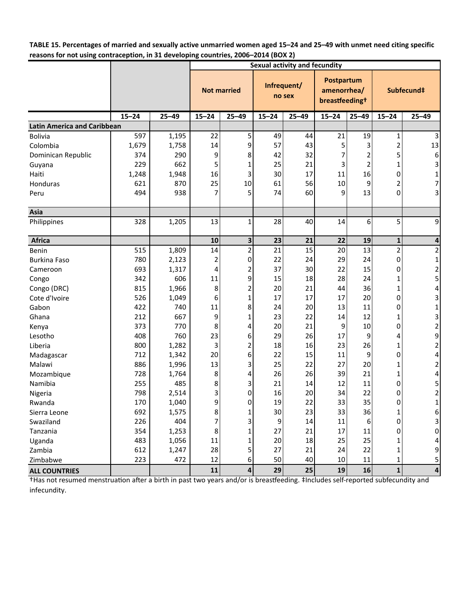TABLE 15. Percentages of married and sexually active unmarried women aged 15-24 and 25-49 with unmet need citing specific **reasons for not using contraception, in 31 developing countries, 2006–2014 (BOX 2)**

|                                    | ,<br><b>Sexual activity and fecundity</b> |           |                    |                         |                       |           |                                                         |           |                |                         |
|------------------------------------|-------------------------------------------|-----------|--------------------|-------------------------|-----------------------|-----------|---------------------------------------------------------|-----------|----------------|-------------------------|
|                                    |                                           |           | <b>Not married</b> |                         | Infrequent/<br>no sex |           | Postpartum<br>amenorrhea/<br>breastfeeding <sup>+</sup> |           | Subfecund‡     |                         |
|                                    | $15 - 24$                                 | $25 - 49$ | $15 - 24$          | $25 - 49$               | $15 - 24$             | $25 - 49$ | $15 - 24$                                               | $25 - 49$ | $15 - 24$      | $25 - 49$               |
| <b>Latin America and Caribbean</b> |                                           |           |                    |                         |                       |           |                                                         |           |                |                         |
| Bolivia                            | 597                                       | 1,195     | 22                 | 5 <sup>1</sup>          | 49                    | 44        | 21                                                      | 19        | $\mathbf 1$    | $\overline{3}$          |
| Colombia                           | 1,679                                     | 1,758     | 14                 | 9                       | 57                    | 43        | 5                                                       |           | $\overline{2}$ | 13                      |
| Dominican Republic                 | 374                                       | 290       | 9                  | 8                       | 42                    | 32        | 7                                                       | 2         | 5              | 6                       |
| Guyana                             | 229                                       | 662       | 5                  | 1                       | 25                    | 21        | 3                                                       | 2         | 1              | 3                       |
| Haiti                              | 1,248                                     | 1,948     | 16                 | 3                       | 30                    | 17        | 11                                                      | 16        | 0              | $\mathbf{1}$            |
| Honduras                           | 621                                       | 870       | 25                 | 10                      | 61                    | 56        | 10                                                      | 9         | 2              | $\overline{7}$          |
| Peru                               | 494                                       | 938       | 7                  | 5                       | 74                    | 60        | 9                                                       | 13        | 0              | 3                       |
| Asia                               |                                           |           |                    |                         |                       |           |                                                         |           |                |                         |
| Philippines                        | 328                                       | 1,205     | 13                 | $\mathbf{1}$            | 28                    | 40        | 14                                                      | 6         | 5              | 9                       |
| <b>Africa</b>                      |                                           |           | 10                 | 3                       | 23                    | 21        | 22                                                      | 19        | $\mathbf 1$    | 4                       |
| Benin                              | 515                                       | 1,809     | 14                 | $\overline{2}$          | 21                    | 15        | 20                                                      | 13        | $\overline{2}$ | $\overline{2}$          |
| <b>Burkina Faso</b>                | 780                                       | 2,123     | 2                  | 0                       | 22                    | 24        | 29                                                      | 24        | $\mathbf 0$    | $\mathbf 1$             |
| Cameroon                           | 693                                       | 1,317     | 4                  | $\overline{2}$          | 37                    | 30        | 22                                                      | 15        | 0              | $\overline{c}$          |
| Congo                              | 342                                       | 606       | 11                 | 9                       | 15                    | 18        | 28                                                      | 24        | $\mathbf{1}$   | 5                       |
| Congo (DRC)                        | 815                                       | 1,966     | 8                  | $\overline{\mathbf{c}}$ | 20                    | 21        | 44                                                      | 36        | $\mathbf 1$    | $\overline{\mathbf{r}}$ |
| Cote d'Ivoire                      | 526                                       | 1,049     | 6                  | 1                       | 17                    | 17        | 17                                                      | 20        | 0              | 3                       |
| Gabon                              | 422                                       | 740       | 11                 | 8                       | 24                    | 20        | 13                                                      | 11        | 0              | $\mathbf 1$             |
| Ghana                              | 212                                       | 667       | 9                  | 1                       | 23                    | 22        | 14                                                      | 12        | 1              | 3                       |
| Kenya                              | 373                                       | 770       | 8                  | 4                       | 20                    | 21        | 9                                                       | 10        | 0              | $\overline{2}$          |
| Lesotho                            | 408                                       | 760       | 23                 | 6                       | 29                    | 26        | 17                                                      | 9         | 4              | 9                       |
| Liberia                            | 800                                       | 1,282     | 3                  | $\overline{2}$          | 18                    | 16        | 23                                                      | 26        | 1              | $\overline{2}$          |
| Madagascar                         | 712                                       | 1,342     | 20                 | 6                       | 22                    | 15        | 11                                                      | 9         | 0              | 4                       |
| Malawi                             | 886                                       | 1,996     | 13                 | 3                       | 25                    | 22        | 27                                                      | 20        | 1              | $\overline{\mathbf{c}}$ |
| Mozambique                         | 728                                       | 1,764     | 8                  | 4                       | 26                    | 26        | 39                                                      | 21        | $\mathbf 1$    | 4                       |
| Namibia                            | 255                                       | 485       | 8                  | 3                       | 21                    | 14        | 12                                                      | 11        | 0              |                         |
| Nigeria                            | 798                                       | 2,514     | 3                  | 0                       | 16                    | 20        | 34                                                      | 22        | 0              | $\frac{5}{2}$           |
| Rwanda                             | 170                                       | 1,040     | 9                  | 0                       | 19                    | 22        | 33                                                      | 35        | 0              | $\mathbf{1}$            |
| Sierra Leone                       | 692                                       | 1,575     | 8                  | 1                       | 30                    | 23        | 33                                                      | 36        | 1              | 6                       |
| Swaziland                          | 226                                       | 404       | 7                  | 3                       | 9                     | 14        | 11                                                      | 6         | 0              | 3                       |
| Tanzania                           | 354                                       | 1,253     | 8                  | 1                       | 27                    | 21        | 17                                                      | 11        | 0              | 0                       |
| Uganda                             | 483                                       | 1,056     | 11                 | 1                       | 20                    | 18        | 25                                                      | 25        | 1              | 4                       |
| Zambia                             | 612                                       | 1,247     | 28                 | 5                       | 27                    | 21        | 24                                                      | 22        | 1              | 9                       |
| Zimbabwe                           | 223                                       | 472       | 12                 | 6                       | 50                    | 40        | $10\,$                                                  | 11        | 1              | 5                       |
| <b>ALL COUNTRIES</b>               |                                           |           | 11                 | $\overline{a}$          | 29                    | 25        | 19                                                      | 16        | $\mathbf{1}$   | $\overline{\mathbf{a}}$ |

†Has not resumed menstruation after a birth in past two years and/or is breastfeeding. ‡Includes self-reported subfecundity and infecundity.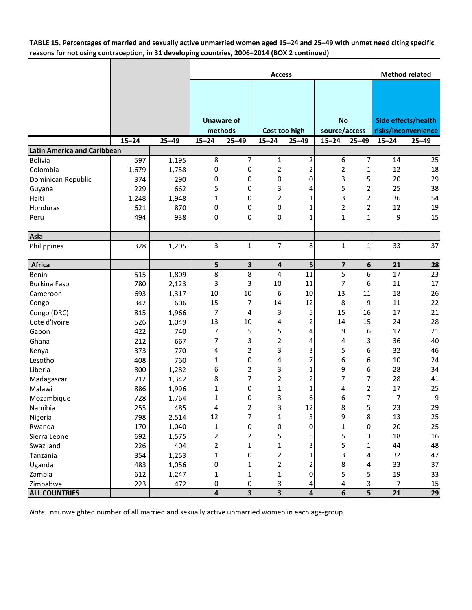TABLE 15. Percentages of married and sexually active unmarried women aged 15-24 and 25-49 with unmet need citing specific **reasons for not using contraception, in 31 developing countries, 2006–2014 (BOX 2 continued)**

|                                    |           |           |                         |                         | <b>Method related</b>   |                          |                         |                |                     |                     |
|------------------------------------|-----------|-----------|-------------------------|-------------------------|-------------------------|--------------------------|-------------------------|----------------|---------------------|---------------------|
|                                    |           |           |                         |                         |                         |                          |                         |                |                     |                     |
|                                    |           |           |                         |                         |                         |                          |                         |                |                     |                     |
|                                    |           |           |                         |                         |                         |                          |                         |                |                     |                     |
|                                    |           |           |                         | <b>Unaware of</b>       |                         |                          | <b>No</b>               |                |                     | Side effects/health |
|                                    |           |           |                         | methods                 |                         | Cost too high            | source/access           |                | risks/inconvenience |                     |
|                                    | $15 - 24$ | $25 - 49$ | $15 - 24$               | $25 - 49$               | $15 - 24$               | $25 - 49$                | $15 - 24$               | $25 - 49$      | $15 - 24$           | $25 - 49$           |
| <b>Latin America and Caribbean</b> |           |           |                         |                         |                         |                          |                         |                |                     |                     |
| <b>Bolivia</b>                     | 597       | 1,195     | 8                       | 7                       | 1                       | 2                        | 6                       | 7              | 14                  | 25                  |
| Colombia                           | 1,679     | 1,758     | 0                       | 0                       | 2                       | $\overline{2}$           | 2                       | 1              | 12                  | 18                  |
| Dominican Republic                 | 374       | 290       | 0                       | 0                       | 0                       | 0                        | 3                       | 5              | 20                  | 29                  |
| Guyana                             | 229       | 662       | 5                       | 0                       | 3                       | 4                        | 5                       |                | 25                  | 38                  |
| Haiti                              | 1,248     | 1,948     | $\mathbf 1$             | 0                       | 2                       | 1                        | 3                       | 2              | 36                  | 54                  |
| Honduras                           | 621       | 870       | 0                       | 0                       | 0                       | 1                        | $\overline{c}$          | 2              | 12                  | 19                  |
| Peru                               | 494       | 938       | 0                       | 0                       | 0                       | 1                        | $\mathbf{1}$            | 1              | 9                   | 15                  |
| Asia                               |           |           |                         |                         |                         |                          |                         |                |                     |                     |
| Philippines                        | 328       | 1,205     | 3                       | 1                       | 7                       | 8                        | $\mathbf{1}$            | 1              | 33                  | 37                  |
| <b>Africa</b>                      |           |           | 5                       | 3                       | 4                       | 5 <sub>l</sub>           | $\overline{\mathbf{z}}$ | 6              | 21                  | 28                  |
| Benin                              | 515       | 1,809     | 8                       | 8                       | 4                       | 11                       | 5                       | 6              | 17                  | 23                  |
| <b>Burkina Faso</b>                | 780       | 2,123     | 3                       | 3                       | 10                      | 11                       | 7                       | 6              | 11                  | 17                  |
| Cameroon                           | 693       | 1,317     | 10                      | 10                      | 6                       | 10                       | 13                      | 11             | 18                  | 26                  |
| Congo                              | 342       | 606       | 15                      | 7                       | 14                      | 12                       | 8                       | 9              | 11                  | 22                  |
| Congo (DRC)                        | 815       | 1,966     | 7                       | 4                       | 3                       | 5                        | 15                      | 16             | 17                  | 21                  |
| Cote d'Ivoire                      | 526       | 1,049     | 13                      | $10\,$                  | 4                       | 2                        | 14                      | 15             | 24                  | 28                  |
| Gabon                              | 422       | 740       | 7                       | 5                       | 5                       | 4                        | 9                       | 6              | 17                  | 21                  |
| Ghana                              | 212       | 667       | 7                       | 3                       | 2                       | 4                        | 4                       | 3              | 36                  | 40                  |
| Kenya                              | 373       | 770       | 4                       | $\overline{\mathbf{c}}$ | 3                       | 3                        | 5                       | 6              | 32                  | 46                  |
| Lesotho                            | 408       | 760       | $\mathbf 1$             | $\mathbf 0$             | 4                       |                          | 6                       | 6              | 10                  | 24                  |
| Liberia                            | 800       | 1,282     | 6                       | 2                       | 3                       | 1                        | 9                       | 6              | 28                  | 34                  |
| Madagascar                         | 712       | 1,342     | 8                       | 7                       | 2                       | $\overline{\phantom{a}}$ | 7                       |                | 28                  | 41                  |
| Malawi                             | 886       | 1,996     | 1                       | 0                       | 1                       | 1                        | 4                       | 2              | 17                  | 25                  |
| Mozambique                         | 728       | 1,764     | $\mathbf 1$             | 0                       | 3                       | 6                        | 6                       | 7              | 7                   | 9                   |
| Namibia                            | 255       | 485       | 4                       | $\overline{\mathbf{c}}$ | 3                       | 12                       | 8                       | C.             | 23                  | 29                  |
| Nigeria                            | 798       | 2,514     | 12                      | $\overline{7}$          | 1                       | $\overline{3}$           | 9                       | 8              | 13                  | 25                  |
| Rwanda                             | 170       | 1,040     | $\mathbf 1$             | $\pmb{0}$               | 0                       | 0                        | $\mathbf{1}$            | 0              | 20                  | 25                  |
| Sierra Leone                       | 692       | 1,575     | 2                       | 2                       | 5                       | 5                        | 5                       |                | 18                  | 16                  |
| Swaziland                          | 226       | 404       | 2                       | 1                       |                         |                          | 5                       |                | 44                  | 48                  |
| Tanzania                           | 354       | 1,253     | $\mathbf 1$             | 0                       | 2                       |                          | 3                       |                | 32                  | 47                  |
| Uganda                             | 483       | 1,056     | 0                       | 1                       | 2                       | 2                        | 8                       | 4              | 33                  | 37                  |
| Zambia                             | 612       | 1,247     | 1                       | $\mathbf 1$             | 1                       | $\mathbf 0$              | 5                       | 5              | 19                  | 33                  |
| Zimbabwe                           | 223       | 472       | 0                       | $\pmb{0}$               | 3                       | 4                        | 4                       | 3              | 7                   | 15                  |
| <b>ALL COUNTRIES</b>               |           |           | $\overline{\mathbf{A}}$ | $\overline{\mathbf{3}}$ | $\overline{\mathbf{3}}$ | 4                        | $6 \overline{6}$        | 5 <sup>1</sup> | 21                  | 29                  |

*Note:* n=unweighted number of all married and sexually active unmarried women in each age‐group.